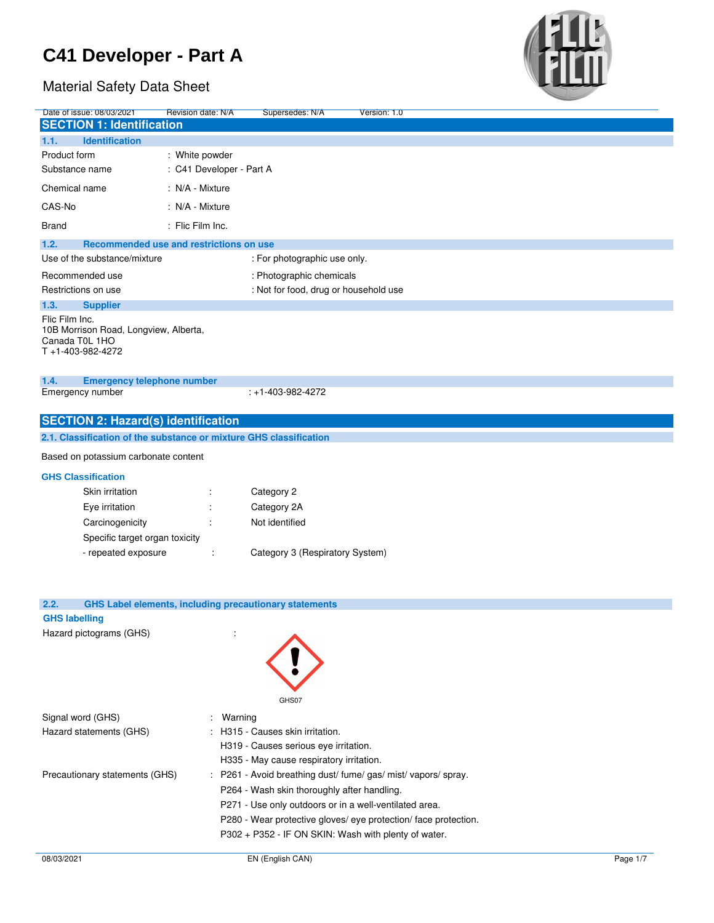

| Date of issue: 08/03/2021                                          | <b>Revision date: N/A</b> | Supersedes: N/A                                                                                                                                                                                                                                                                                                                                                                                                                   | Version: 1.0                                                 |  |
|--------------------------------------------------------------------|---------------------------|-----------------------------------------------------------------------------------------------------------------------------------------------------------------------------------------------------------------------------------------------------------------------------------------------------------------------------------------------------------------------------------------------------------------------------------|--------------------------------------------------------------|--|
| <b>SECTION 1: Identification</b>                                   |                           |                                                                                                                                                                                                                                                                                                                                                                                                                                   |                                                              |  |
| 1.1.<br><b>Identification</b>                                      |                           |                                                                                                                                                                                                                                                                                                                                                                                                                                   |                                                              |  |
|                                                                    |                           |                                                                                                                                                                                                                                                                                                                                                                                                                                   |                                                              |  |
| Product form                                                       | : White powder            |                                                                                                                                                                                                                                                                                                                                                                                                                                   |                                                              |  |
| Substance name                                                     | : C41 Developer - Part A  |                                                                                                                                                                                                                                                                                                                                                                                                                                   |                                                              |  |
| Chemical name                                                      | : N/A - Mixture           |                                                                                                                                                                                                                                                                                                                                                                                                                                   |                                                              |  |
| CAS-No                                                             | : N/A - Mixture           |                                                                                                                                                                                                                                                                                                                                                                                                                                   |                                                              |  |
| <b>Brand</b>                                                       | : Flic Film Inc.          |                                                                                                                                                                                                                                                                                                                                                                                                                                   |                                                              |  |
| 1.2.<br>Recommended use and restrictions on use                    |                           |                                                                                                                                                                                                                                                                                                                                                                                                                                   |                                                              |  |
| Use of the substance/mixture                                       |                           | : For photographic use only.                                                                                                                                                                                                                                                                                                                                                                                                      |                                                              |  |
| Recommended use                                                    |                           | : Photographic chemicals                                                                                                                                                                                                                                                                                                                                                                                                          |                                                              |  |
| Restrictions on use                                                |                           | : Not for food, drug or household use                                                                                                                                                                                                                                                                                                                                                                                             |                                                              |  |
| 1.3.<br><b>Supplier</b>                                            |                           |                                                                                                                                                                                                                                                                                                                                                                                                                                   |                                                              |  |
| Flic Film Inc.                                                     |                           |                                                                                                                                                                                                                                                                                                                                                                                                                                   |                                                              |  |
| 10B Morrison Road, Longview, Alberta,                              |                           |                                                                                                                                                                                                                                                                                                                                                                                                                                   |                                                              |  |
| Canada T0L 1HO                                                     |                           |                                                                                                                                                                                                                                                                                                                                                                                                                                   |                                                              |  |
| T+1-403-982-4272                                                   |                           |                                                                                                                                                                                                                                                                                                                                                                                                                                   |                                                              |  |
|                                                                    |                           |                                                                                                                                                                                                                                                                                                                                                                                                                                   |                                                              |  |
| 1.4.<br><b>Emergency telephone number</b>                          |                           |                                                                                                                                                                                                                                                                                                                                                                                                                                   |                                                              |  |
| Emergency number                                                   |                           | $: +1 - 403 - 982 - 4272$                                                                                                                                                                                                                                                                                                                                                                                                         |                                                              |  |
|                                                                    |                           |                                                                                                                                                                                                                                                                                                                                                                                                                                   |                                                              |  |
| <b>SECTION 2: Hazard(s) identification</b>                         |                           |                                                                                                                                                                                                                                                                                                                                                                                                                                   |                                                              |  |
| 2.1. Classification of the substance or mixture GHS classification |                           |                                                                                                                                                                                                                                                                                                                                                                                                                                   |                                                              |  |
| Based on potassium carbonate content                               |                           |                                                                                                                                                                                                                                                                                                                                                                                                                                   |                                                              |  |
|                                                                    |                           |                                                                                                                                                                                                                                                                                                                                                                                                                                   |                                                              |  |
| <b>GHS Classification</b>                                          |                           |                                                                                                                                                                                                                                                                                                                                                                                                                                   |                                                              |  |
| Skin irritation                                                    |                           | Category 2                                                                                                                                                                                                                                                                                                                                                                                                                        |                                                              |  |
| Eye irritation                                                     |                           | Category 2A                                                                                                                                                                                                                                                                                                                                                                                                                       |                                                              |  |
| Carcinogenicity                                                    |                           | Not identified                                                                                                                                                                                                                                                                                                                                                                                                                    |                                                              |  |
| Specific target organ toxicity                                     |                           |                                                                                                                                                                                                                                                                                                                                                                                                                                   |                                                              |  |
| - repeated exposure                                                |                           | Category 3 (Respiratory System)                                                                                                                                                                                                                                                                                                                                                                                                   |                                                              |  |
|                                                                    |                           |                                                                                                                                                                                                                                                                                                                                                                                                                                   |                                                              |  |
|                                                                    |                           |                                                                                                                                                                                                                                                                                                                                                                                                                                   |                                                              |  |
|                                                                    |                           |                                                                                                                                                                                                                                                                                                                                                                                                                                   |                                                              |  |
| 2.2.                                                               |                           | <b>GHS Label elements, including precautionary statements</b>                                                                                                                                                                                                                                                                                                                                                                     |                                                              |  |
| <b>GHS labelling</b>                                               |                           |                                                                                                                                                                                                                                                                                                                                                                                                                                   |                                                              |  |
| Hazard pictograms (GHS)                                            |                           |                                                                                                                                                                                                                                                                                                                                                                                                                                   |                                                              |  |
|                                                                    |                           |                                                                                                                                                                                                                                                                                                                                                                                                                                   |                                                              |  |
|                                                                    |                           |                                                                                                                                                                                                                                                                                                                                                                                                                                   |                                                              |  |
|                                                                    |                           |                                                                                                                                                                                                                                                                                                                                                                                                                                   |                                                              |  |
|                                                                    |                           |                                                                                                                                                                                                                                                                                                                                                                                                                                   |                                                              |  |
|                                                                    |                           |                                                                                                                                                                                                                                                                                                                                                                                                                                   |                                                              |  |
|                                                                    |                           | GHS07                                                                                                                                                                                                                                                                                                                                                                                                                             |                                                              |  |
| Signal word (GHS)                                                  | Warning                   |                                                                                                                                                                                                                                                                                                                                                                                                                                   |                                                              |  |
| Hazard statements (GHS)                                            |                           | H315 - Causes skin irritation.                                                                                                                                                                                                                                                                                                                                                                                                    |                                                              |  |
|                                                                    |                           | H319 - Causes serious eye irritation.                                                                                                                                                                                                                                                                                                                                                                                             |                                                              |  |
|                                                                    |                           | H335 - May cause respiratory irritation.                                                                                                                                                                                                                                                                                                                                                                                          |                                                              |  |
| Precautionary statements (GHS)                                     |                           |                                                                                                                                                                                                                                                                                                                                                                                                                                   | P261 - Avoid breathing dust/ fume/ gas/ mist/ vapors/ spray. |  |
|                                                                    |                           | $\overline{D}$ $\overline{D}$ $\overline{D}$ $\overline{D}$ $\overline{D}$ $\overline{A}$ $\overline{A}$ $\overline{A}$ $\overline{A}$ $\overline{A}$ $\overline{A}$ $\overline{A}$ $\overline{A}$ $\overline{A}$ $\overline{A}$ $\overline{A}$ $\overline{A}$ $\overline{A}$ $\overline{A}$ $\overline{A}$ $\overline{A}$ $\overline{A}$ $\overline{A}$ $\overline{A}$ $\overline{A}$ $\overline{A}$ $\overline{A}$ $\overline{$ |                                                              |  |

- P264 Wash skin thoroughly after handling.
	- P271 Use only outdoors or in a well-ventilated area.
	- P280 Wear protective gloves/ eye protection/ face protection.
	- P302 + P352 IF ON SKIN: Wash with plenty of water.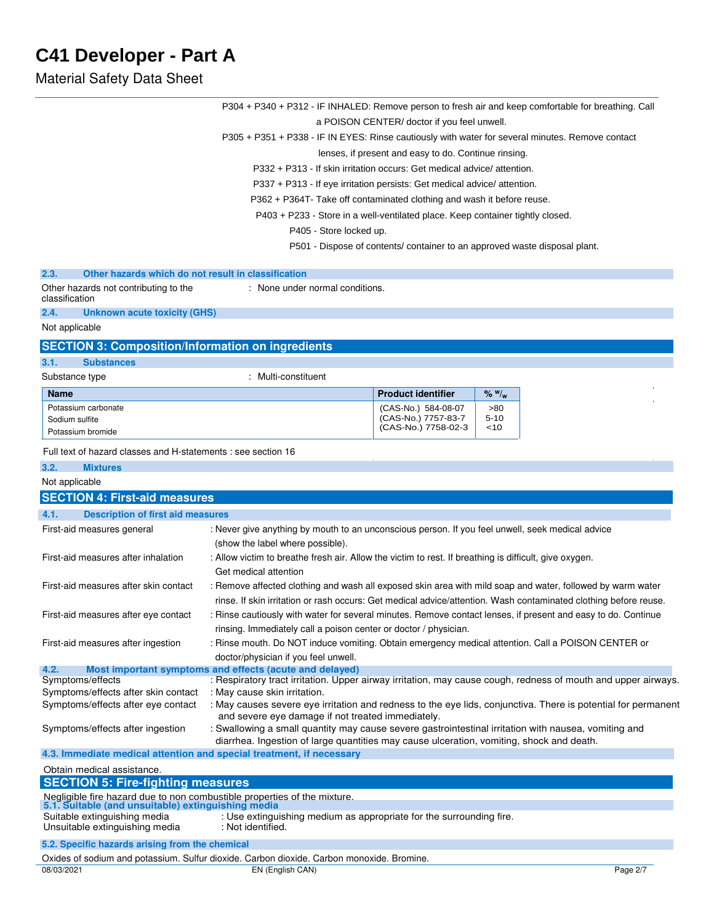|                                                                                                                                | P304 + P340 + P312 - IF INHALED: Remove person to fresh air and keep comfortable for breathing. Call                                                                                             |                                                                            |          |          |
|--------------------------------------------------------------------------------------------------------------------------------|--------------------------------------------------------------------------------------------------------------------------------------------------------------------------------------------------|----------------------------------------------------------------------------|----------|----------|
|                                                                                                                                |                                                                                                                                                                                                  | a POISON CENTER/ doctor if you feel unwell.                                |          |          |
|                                                                                                                                | P305 + P351 + P338 - IF IN EYES: Rinse cautiously with water for several minutes. Remove contact                                                                                                 |                                                                            |          |          |
|                                                                                                                                |                                                                                                                                                                                                  | lenses, if present and easy to do. Continue rinsing.                       |          |          |
|                                                                                                                                | P332 + P313 - If skin irritation occurs: Get medical advice/ attention.                                                                                                                          |                                                                            |          |          |
|                                                                                                                                | P337 + P313 - If eye irritation persists: Get medical advice/attention.                                                                                                                          |                                                                            |          |          |
|                                                                                                                                | P362 + P364T- Take off contaminated clothing and wash it before reuse.                                                                                                                           |                                                                            |          |          |
|                                                                                                                                | P403 + P233 - Store in a well-ventilated place. Keep container tightly closed.                                                                                                                   |                                                                            |          |          |
|                                                                                                                                | P405 - Store locked up.                                                                                                                                                                          |                                                                            |          |          |
|                                                                                                                                |                                                                                                                                                                                                  | P501 - Dispose of contents/ container to an approved waste disposal plant. |          |          |
| 2.3.<br>Other hazards which do not result in classification                                                                    |                                                                                                                                                                                                  |                                                                            |          |          |
| Other hazards not contributing to the<br>classification                                                                        | : None under normal conditions.                                                                                                                                                                  |                                                                            |          |          |
| 2.4.<br><b>Unknown acute toxicity (GHS)</b>                                                                                    |                                                                                                                                                                                                  |                                                                            |          |          |
| Not applicable                                                                                                                 |                                                                                                                                                                                                  |                                                                            |          |          |
| <b>SECTION 3: Composition/Information on ingredients</b>                                                                       |                                                                                                                                                                                                  |                                                                            |          |          |
| 3.1.<br><b>Substances</b>                                                                                                      |                                                                                                                                                                                                  |                                                                            |          |          |
| Substance type                                                                                                                 | : Multi-constituent                                                                                                                                                                              |                                                                            |          |          |
| <b>Name</b>                                                                                                                    |                                                                                                                                                                                                  | <b>Product identifier</b>                                                  | % w / w  |          |
| Potassium carbonate                                                                                                            |                                                                                                                                                                                                  | (CAS-No.) 584-08-07                                                        | >80      |          |
| Sodium sulfite                                                                                                                 |                                                                                                                                                                                                  | (CAS-No.) 7757-83-7                                                        | $5 - 10$ |          |
| Potassium bromide                                                                                                              |                                                                                                                                                                                                  | (CAS-No.) 7758-02-3                                                        | ~10      |          |
| Full text of hazard classes and H-statements : see section 16                                                                  |                                                                                                                                                                                                  |                                                                            |          |          |
| 3.2.<br><b>Mixtures</b>                                                                                                        |                                                                                                                                                                                                  |                                                                            |          |          |
| Not applicable                                                                                                                 |                                                                                                                                                                                                  |                                                                            |          |          |
| <b>SECTION 4: First-aid measures</b>                                                                                           |                                                                                                                                                                                                  |                                                                            |          |          |
| 4.1.<br><b>Description of first aid measures</b>                                                                               |                                                                                                                                                                                                  |                                                                            |          |          |
| First-aid measures general                                                                                                     | : Never give anything by mouth to an unconscious person. If you feel unwell, seek medical advice                                                                                                 |                                                                            |          |          |
|                                                                                                                                | (show the label where possible).                                                                                                                                                                 |                                                                            |          |          |
| First-aid measures after inhalation                                                                                            | : Allow victim to breathe fresh air. Allow the victim to rest. If breathing is difficult, give oxygen.<br>Get medical attention                                                                  |                                                                            |          |          |
| First-aid measures after skin contact                                                                                          | : Remove affected clothing and wash all exposed skin area with mild soap and water, followed by warm water                                                                                       |                                                                            |          |          |
|                                                                                                                                | rinse. If skin irritation or rash occurs: Get medical advice/attention. Wash contaminated clothing before reuse.                                                                                 |                                                                            |          |          |
| First-aid measures after eye contact                                                                                           | : Rinse cautiously with water for several minutes. Remove contact lenses, if present and easy to do. Continue                                                                                    |                                                                            |          |          |
|                                                                                                                                | rinsing. Immediately call a poison center or doctor / physician.                                                                                                                                 |                                                                            |          |          |
| First-aid measures after ingestion                                                                                             | : Rinse mouth. Do NOT induce vomiting. Obtain emergency medical attention. Call a POISON CENTER or                                                                                               |                                                                            |          |          |
|                                                                                                                                | doctor/physician if you feel unwell.                                                                                                                                                             |                                                                            |          |          |
| 4.2.                                                                                                                           | Most important symptoms and effects (acute and delayed)                                                                                                                                          |                                                                            |          |          |
| Symptoms/effects<br>Symptoms/effects after skin contact                                                                        | : Respiratory tract irritation. Upper airway irritation, may cause cough, redness of mouth and upper airways.<br>: May cause skin irritation.                                                    |                                                                            |          |          |
| Symptoms/effects after eye contact                                                                                             | : May causes severe eye irritation and redness to the eye lids, conjunctiva. There is potential for permanent                                                                                    |                                                                            |          |          |
|                                                                                                                                | and severe eye damage if not treated immediately.                                                                                                                                                |                                                                            |          |          |
| Symptoms/effects after ingestion                                                                                               | : Swallowing a small quantity may cause severe gastrointestinal irritation with nausea, vomiting and<br>diarrhea. Ingestion of large quantities may cause ulceration, vomiting, shock and death. |                                                                            |          |          |
| 4.3. Immediate medical attention and special treatment, if necessary                                                           |                                                                                                                                                                                                  |                                                                            |          |          |
| Obtain medical assistance.                                                                                                     |                                                                                                                                                                                                  |                                                                            |          |          |
| <b>SECTION 5: Fire-fighting measures</b>                                                                                       |                                                                                                                                                                                                  |                                                                            |          |          |
| Negligible fire hazard due to non combustible properties of the mixture.<br>5.1. Suitable (and unsuitable) extinguishing media |                                                                                                                                                                                                  |                                                                            |          |          |
| Suitable extinguishing media                                                                                                   | : Use extinguishing medium as appropriate for the surrounding fire.                                                                                                                              |                                                                            |          |          |
| Unsuitable extinguishing media                                                                                                 | : Not identified.                                                                                                                                                                                |                                                                            |          |          |
| 5.2. Specific hazards arising from the chemical                                                                                |                                                                                                                                                                                                  |                                                                            |          |          |
|                                                                                                                                | Oxides of sodium and potassium. Sulfur dioxide. Carbon dioxide. Carbon monoxide. Bromine.                                                                                                        |                                                                            |          |          |
| 08/03/2021                                                                                                                     | EN (English CAN)                                                                                                                                                                                 |                                                                            |          | Page 2/7 |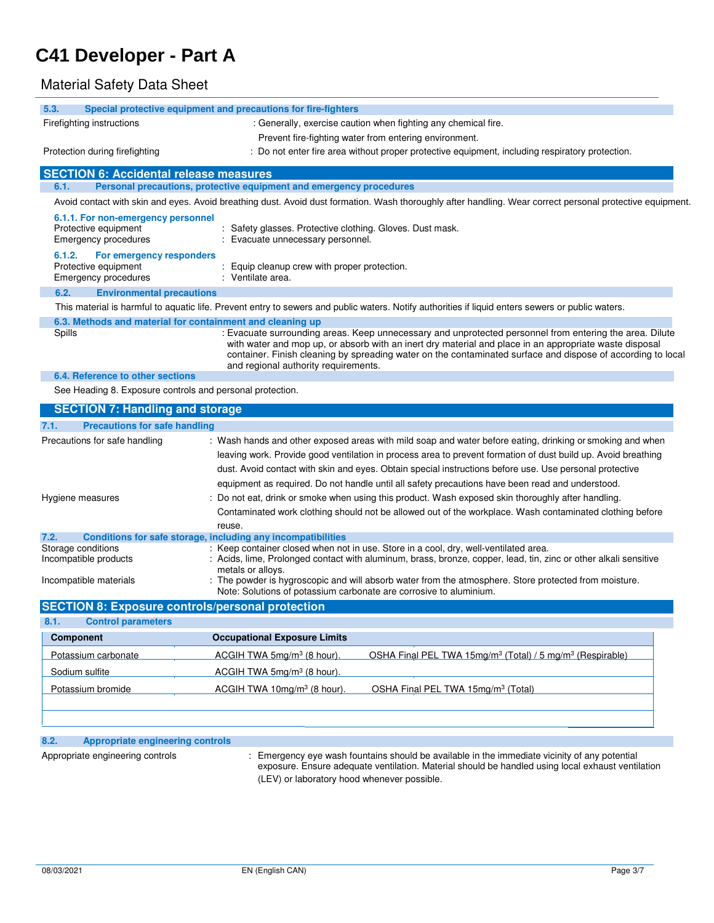## Material Safety Data Sheet

| 5.3.                                                                               | Special protective equipment and precautions for fire-fighters                                                                                                                                                                                                                                                                                                                                                                            |
|------------------------------------------------------------------------------------|-------------------------------------------------------------------------------------------------------------------------------------------------------------------------------------------------------------------------------------------------------------------------------------------------------------------------------------------------------------------------------------------------------------------------------------------|
| Firefighting instructions                                                          | : Generally, exercise caution when fighting any chemical fire.                                                                                                                                                                                                                                                                                                                                                                            |
|                                                                                    | Prevent fire-fighting water from entering environment.                                                                                                                                                                                                                                                                                                                                                                                    |
| Protection during firefighting                                                     | : Do not enter fire area without proper protective equipment, including respiratory protection.                                                                                                                                                                                                                                                                                                                                           |
| <b>SECTION 6: Accidental release measures</b>                                      |                                                                                                                                                                                                                                                                                                                                                                                                                                           |
| 6.1.                                                                               | Personal precautions, protective equipment and emergency procedures                                                                                                                                                                                                                                                                                                                                                                       |
|                                                                                    | Avoid contact with skin and eyes. Avoid breathing dust. Avoid dust formation. Wash thoroughly after handling. Wear correct personal protective equipment.                                                                                                                                                                                                                                                                                 |
| 6.1.1. For non-emergency personnel<br>Protective equipment<br>Emergency procedures | : Safety glasses. Protective clothing. Gloves. Dust mask.<br>Evacuate unnecessary personnel.                                                                                                                                                                                                                                                                                                                                              |
| 6.1.2.<br>For emergency responders<br>Protective equipment<br>Emergency procedures | Equip cleanup crew with proper protection.<br>: Ventilate area.                                                                                                                                                                                                                                                                                                                                                                           |
| 6.2.<br><b>Environmental precautions</b>                                           |                                                                                                                                                                                                                                                                                                                                                                                                                                           |
|                                                                                    | This material is harmful to aquatic life. Prevent entry to sewers and public waters. Notify authorities if liquid enters sewers or public waters.                                                                                                                                                                                                                                                                                         |
|                                                                                    | 6.3. Methods and material for containment and cleaning up                                                                                                                                                                                                                                                                                                                                                                                 |
| Spills                                                                             | : Evacuate surrounding areas. Keep unnecessary and unprotected personnel from entering the area. Dilute<br>with water and mop up, or absorb with an inert dry material and place in an appropriate waste disposal<br>container. Finish cleaning by spreading water on the contaminated surface and dispose of according to local<br>and regional authority requirements.                                                                  |
| 6.4. Reference to other sections                                                   |                                                                                                                                                                                                                                                                                                                                                                                                                                           |
| See Heading 8. Exposure controls and personal protection.                          |                                                                                                                                                                                                                                                                                                                                                                                                                                           |
| <b>SECTION 7: Handling and storage</b>                                             |                                                                                                                                                                                                                                                                                                                                                                                                                                           |
| <b>Precautions for safe handling</b><br>7.1.                                       |                                                                                                                                                                                                                                                                                                                                                                                                                                           |
| Precautions for safe handling                                                      | : Wash hands and other exposed areas with mild soap and water before eating, drinking or smoking and when<br>leaving work. Provide good ventilation in process area to prevent formation of dust build up. Avoid breathing<br>dust. Avoid contact with skin and eyes. Obtain special instructions before use. Use personal protective<br>equipment as required. Do not handle until all safety precautions have been read and understood. |
| Hygiene measures                                                                   | Do not eat, drink or smoke when using this product. Wash exposed skin thoroughly after handling.<br>Contaminated work clothing should not be allowed out of the workplace. Wash contaminated clothing before<br>reuse.                                                                                                                                                                                                                    |
| 7.2.                                                                               | Conditions for safe storage, including any incompatibilities                                                                                                                                                                                                                                                                                                                                                                              |
| Storage conditions                                                                 | : Keep container closed when not in use. Store in a cool, dry, well-ventilated area.<br>Providence and the contract contains a booster contractor of the basic of the                                                                                                                                                                                                                                                                     |

| 5.5.05                 | $\sim$ . The second control of the second control in the second state $\sim$ . The second control of $\sim$      |
|------------------------|------------------------------------------------------------------------------------------------------------------|
| Incompatible products  | : Acids, lime, Prolonged contact with aluminum, brass, bronze, copper, lead, tin, zinc or other alkali sensitive |
|                        | metals or alloys.                                                                                                |
| Incompatible materials | The powder is hygroscopic and will absorb water from the atmosphere. Store protected from moisture.              |
|                        | Note: Solutions of potassium carbonate are corrosive to aluminium.                                               |

| <b>Control parameters</b><br>8.1. |                                         |                                                                                   |
|-----------------------------------|-----------------------------------------|-----------------------------------------------------------------------------------|
| <b>Component</b>                  | <b>Occupational Exposure Limits</b>     |                                                                                   |
| Potassium carbonate               | ACGIH TWA 5mg/m <sup>3</sup> (8 hour).  | OSHA Final PEL TWA 15mg/m <sup>3</sup> (Total) / 5 mg/m <sup>3</sup> (Respirable) |
| Sodium sulfite                    | ACGIH TWA 5mg/m <sup>3</sup> (8 hour).  |                                                                                   |
| Potassium bromide                 | ACGIH TWA 10mg/m <sup>3</sup> (8 hour). | OSHA Final PEL TWA 15mg/m <sup>3</sup> (Total)                                    |

## **8.2. Appropriate engineering controls**

Appropriate engineering controls : Emergency eye wash fountains should be available in the immediate vicinity of any potential exposure. Ensure adequate ventilation. Material should be handled using local exhaust ventilation (LEV) or laboratory hood whenever possible.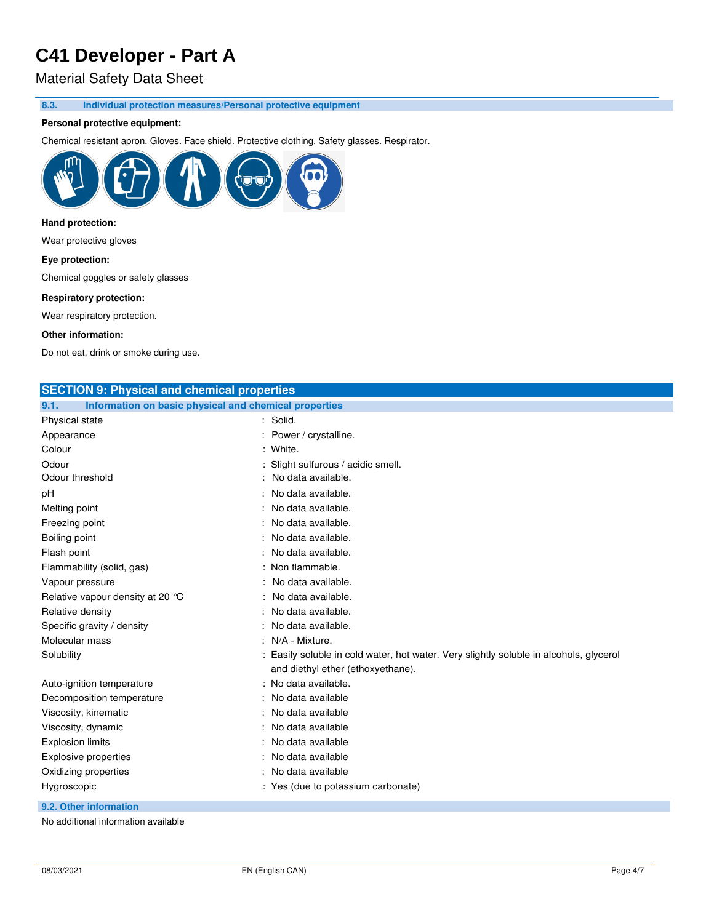## Material Safety Data Sheet

**8.3. Individual protection measures/Personal protective equipment** 

### **Personal protective equipment:**

Chemical resistant apron. Gloves. Face shield. Protective clothing. Safety glasses. Respirator.



### **Hand protection:**

Wear protective gloves

#### **Eye protection:**

Chemical goggles or safety glasses

#### **Respiratory protection:**

Wear respiratory protection.

#### **Other information:**

Do not eat, drink or smoke during use.

| <b>SECTION 9: Physical and chemical properties</b>            |                                                                                      |
|---------------------------------------------------------------|--------------------------------------------------------------------------------------|
| Information on basic physical and chemical properties<br>9.1. |                                                                                      |
| Physical state                                                | : Solid.                                                                             |
| Appearance                                                    | Power / crystalline.                                                                 |
| Colour                                                        | : White.                                                                             |
| Odour                                                         | Slight sulfurous / acidic smell.                                                     |
| Odour threshold                                               | No data available.                                                                   |
| рH                                                            | No data available.                                                                   |
| Melting point                                                 | No data available.                                                                   |
| Freezing point                                                | No data available.                                                                   |
| Boiling point                                                 | No data available.                                                                   |
| Flash point                                                   | No data available.                                                                   |
| Flammability (solid, gas)                                     | Non flammable.                                                                       |
| Vapour pressure                                               | No data available.                                                                   |
| Relative vapour density at 20 °C                              | No data available.                                                                   |
| Relative density                                              | No data available.                                                                   |
| Specific gravity / density                                    | No data available.                                                                   |
| Molecular mass                                                | N/A - Mixture.                                                                       |
| Solubility                                                    | Easily soluble in cold water, hot water. Very slightly soluble in alcohols, glycerol |
|                                                               | and diethyl ether (ethoxyethane).                                                    |
| Auto-ignition temperature                                     | : No data available.                                                                 |
| Decomposition temperature                                     | No data available                                                                    |
| Viscosity, kinematic                                          | No data available                                                                    |
| Viscosity, dynamic                                            | No data available                                                                    |
| <b>Explosion limits</b>                                       | No data available                                                                    |
| <b>Explosive properties</b>                                   | No data available                                                                    |
| Oxidizing properties                                          | No data available                                                                    |
| Hygroscopic                                                   | : Yes (due to potassium carbonate)                                                   |
|                                                               |                                                                                      |

**9.2. Other information**

No additional information available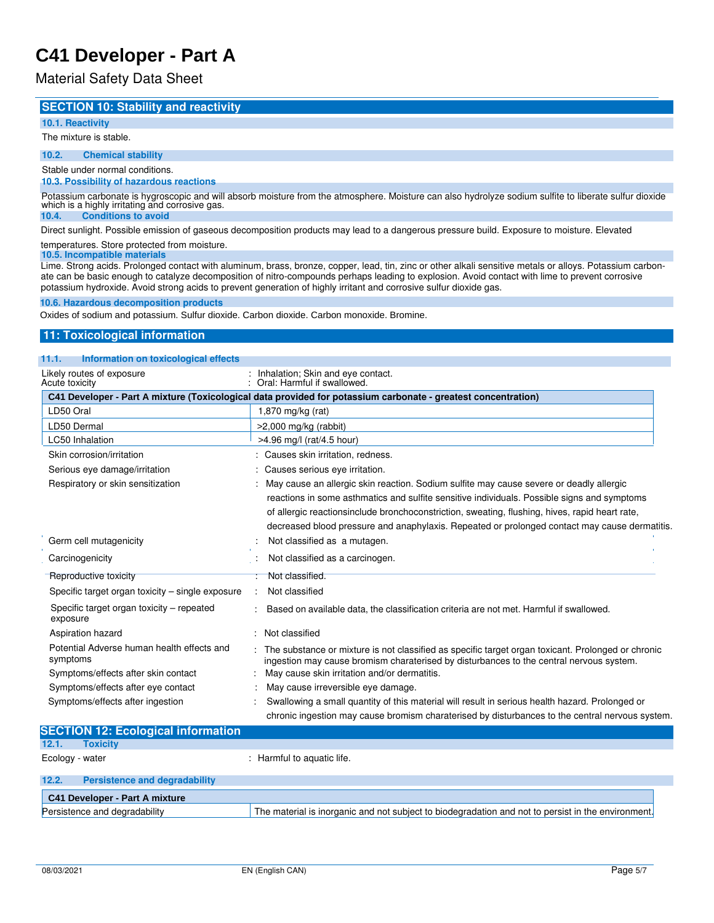## Material Safety Data Sheet

### **SECTION 10: Stability and reactivity**

### **10.1. Reactivity**

#### The mixture is stable.

**10.2. Chemical stability**

### Stable under normal conditions.

#### **10.3. Possibility of hazardous reactions**

Potassium carbonate is hygroscopic and will absorb moisture from the atmosphere. Moisture can also hydrolyze sodium sulfite to liberate sulfur dioxide which is a highly irritating and corrosive gas.

## **10.4. Conditions to avoid**

Direct sunlight. Possible emission of gaseous decomposition products may lead to a dangerous pressure build. Exposure to moisture. Elevated

#### temperatures. Store protected from moisture. **10.5. Incompatible materials**

Lime. Strong acids. Prolonged contact with aluminum, brass, bronze, copper, lead, tin, zinc or other alkali sensitive metals or alloys. Potassium carbonate can be basic enough to catalyze decomposition of nitro-compounds perhaps leading to explosion. Avoid contact with lime to prevent corrosive potassium hydroxide. Avoid strong acids to prevent generation of highly irritant and corrosive sulfur dioxide gas.

#### **10.6. Hazardous decomposition products**

Oxides of sodium and potassium. Sulfur dioxide. Carbon dioxide. Carbon monoxide. Bromine.

### **11: Toxicological information**

### **11.1. Information on toxicological effects**

| Likely routes of exposure<br>Acute toxicity                                                   | Inhalation; Skin and eye contact.<br>Oral: Harmful if swallowed.                                                                                                                                                                                                                                                                                                                                                          |
|-----------------------------------------------------------------------------------------------|---------------------------------------------------------------------------------------------------------------------------------------------------------------------------------------------------------------------------------------------------------------------------------------------------------------------------------------------------------------------------------------------------------------------------|
|                                                                                               | C41 Developer - Part A mixture (Toxicological data provided for potassium carbonate - greatest concentration)                                                                                                                                                                                                                                                                                                             |
| LD50 Oral                                                                                     | 1,870 mg/kg (rat)                                                                                                                                                                                                                                                                                                                                                                                                         |
| LD50 Dermal                                                                                   | $>2,000$ mg/kg (rabbit)                                                                                                                                                                                                                                                                                                                                                                                                   |
| <b>LC50</b> Inhalation                                                                        | >4.96 mg/l (rat/4.5 hour)                                                                                                                                                                                                                                                                                                                                                                                                 |
| Skin corrosion/irritation                                                                     | Causes skin irritation, redness.                                                                                                                                                                                                                                                                                                                                                                                          |
| Serious eye damage/irritation                                                                 | Causes serious eye irritation.                                                                                                                                                                                                                                                                                                                                                                                            |
| Respiratory or skin sensitization<br>Germ cell mutagenicity                                   | May cause an allergic skin reaction. Sodium sulfite may cause severe or deadly allergic<br>reactions in some asthmatics and sulfite sensitive individuals. Possible signs and symptoms<br>of allergic reactionsinclude bronchoconstriction, sweating, flushing, hives, rapid heart rate,<br>decreased blood pressure and anaphylaxis. Repeated or prolonged contact may cause dermatitis.<br>Not classified as a mutagen. |
|                                                                                               |                                                                                                                                                                                                                                                                                                                                                                                                                           |
| Carcinogenicity                                                                               | Not classified as a carcinogen.                                                                                                                                                                                                                                                                                                                                                                                           |
| Reproductive toxicity                                                                         | Not classified.                                                                                                                                                                                                                                                                                                                                                                                                           |
| Specific target organ toxicity – single exposure                                              | Not classified                                                                                                                                                                                                                                                                                                                                                                                                            |
| Specific target organ toxicity - repeated<br>exposure                                         | Based on available data, the classification criteria are not met. Harmful if swallowed.                                                                                                                                                                                                                                                                                                                                   |
| Aspiration hazard                                                                             | Not classified                                                                                                                                                                                                                                                                                                                                                                                                            |
| Potential Adverse human health effects and<br>symptoms<br>Symptoms/effects after skin contact | The substance or mixture is not classified as specific target organ toxicant. Prolonged or chronic<br>ingestion may cause bromism charaterised by disturbances to the central nervous system.<br>May cause skin irritation and/or dermatitis.                                                                                                                                                                             |
| Symptoms/effects after eye contact                                                            | May cause irreversible eye damage.                                                                                                                                                                                                                                                                                                                                                                                        |
| Symptoms/effects after ingestion                                                              | Swallowing a small quantity of this material will result in serious health hazard. Prolonged or                                                                                                                                                                                                                                                                                                                           |
|                                                                                               | chronic ingestion may cause bromism charaterised by disturbances to the central nervous system.                                                                                                                                                                                                                                                                                                                           |
| <b>SECTION 12: Ecological information</b>                                                     |                                                                                                                                                                                                                                                                                                                                                                                                                           |

## **12.1. Toxicity**

Ecology - water  $\blacksquare$  : Harmful to aquatic life.

| 12.2. | Persistence and degradability  |                                                                                                    |
|-------|--------------------------------|----------------------------------------------------------------------------------------------------|
|       | C41 Developer - Part A mixture |                                                                                                    |
|       | Persistence and degradability  | The material is inorganic and not subject to biodegradation and not to persist in the environment. |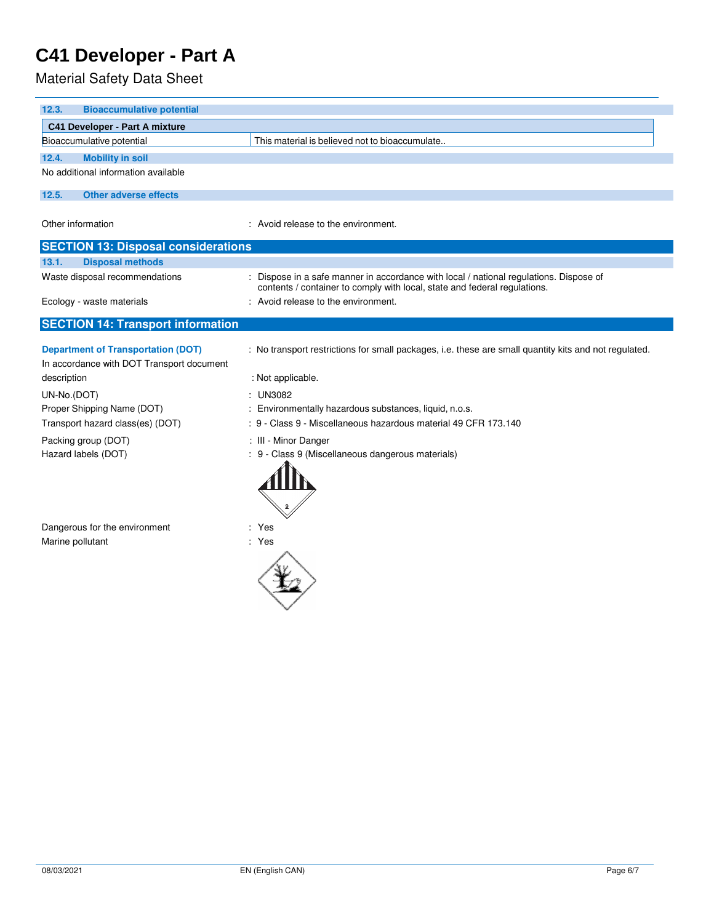| 12.3.<br><b>Bioaccumulative potential</b>                                              |                                                                                                                                                                     |
|----------------------------------------------------------------------------------------|---------------------------------------------------------------------------------------------------------------------------------------------------------------------|
| C41 Developer - Part A mixture                                                         |                                                                                                                                                                     |
| Bioaccumulative potential                                                              | This material is believed not to bioaccumulate                                                                                                                      |
| 12.4.<br><b>Mobility in soil</b>                                                       |                                                                                                                                                                     |
| No additional information available                                                    |                                                                                                                                                                     |
| 12.5.<br><b>Other adverse effects</b>                                                  |                                                                                                                                                                     |
| Other information                                                                      | : Avoid release to the environment.                                                                                                                                 |
| <b>SECTION 13: Disposal considerations</b>                                             |                                                                                                                                                                     |
| <b>Disposal methods</b><br>13.1.                                                       |                                                                                                                                                                     |
| Waste disposal recommendations                                                         | : Dispose in a safe manner in accordance with local / national regulations. Dispose of<br>contents / container to comply with local, state and federal regulations. |
| Ecology - waste materials                                                              | : Avoid release to the environment.                                                                                                                                 |
| <b>SECTION 14: Transport information</b>                                               |                                                                                                                                                                     |
| <b>Department of Transportation (DOT)</b><br>In accordance with DOT Transport document | : No transport restrictions for small packages, i.e. these are small quantity kits and not regulated.                                                               |
| description                                                                            | : Not applicable.                                                                                                                                                   |
| UN-No.(DOT)<br>Proper Shipping Name (DOT)                                              | $:$ UN3082<br>: Environmentally hazardous substances, liquid, n.o.s.                                                                                                |
| Transport hazard class(es) (DOT)                                                       | : 9 - Class 9 - Miscellaneous hazardous material 49 CFR 173.140                                                                                                     |
|                                                                                        |                                                                                                                                                                     |
| Packing group (DOT)<br>Hazard labels (DOT)                                             | : III - Minor Danger<br>: 9 - Class 9 (Miscellaneous dangerous materials)                                                                                           |
| Dangerous for the environment<br>Marine pollutant                                      | : Yes<br>: Yes                                                                                                                                                      |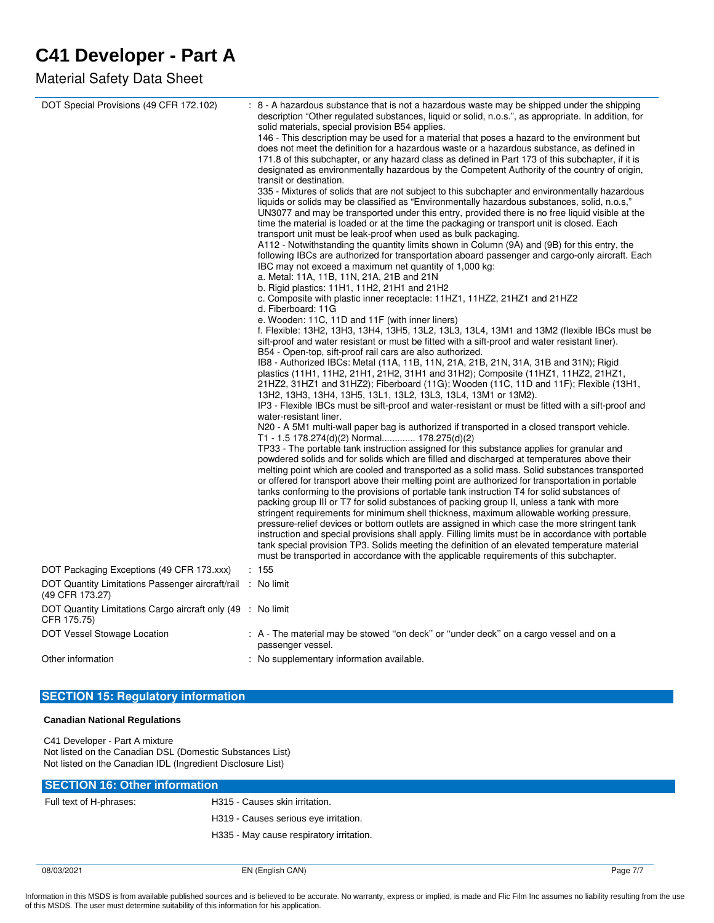## Material Safety Data Sheet

| DOT Special Provisions (49 CFR 172.102)                                        | : 8 - A hazardous substance that is not a hazardous waste may be shipped under the shipping<br>description "Other regulated substances, liquid or solid, n.o.s.", as appropriate. In addition, for<br>solid materials, special provision B54 applies.<br>146 - This description may be used for a material that poses a hazard to the environment but<br>does not meet the definition for a hazardous waste or a hazardous substance, as defined in<br>171.8 of this subchapter, or any hazard class as defined in Part 173 of this subchapter, if it is<br>designated as environmentally hazardous by the Competent Authority of the country of origin,<br>transit or destination.<br>335 - Mixtures of solids that are not subject to this subchapter and environmentally hazardous<br>liquids or solids may be classified as "Environmentally hazardous substances, solid, n.o.s,"<br>UN3077 and may be transported under this entry, provided there is no free liquid visible at the<br>time the material is loaded or at the time the packaging or transport unit is closed. Each<br>transport unit must be leak-proof when used as bulk packaging.<br>A112 - Notwithstanding the quantity limits shown in Column (9A) and (9B) for this entry, the<br>following IBCs are authorized for transportation aboard passenger and cargo-only aircraft. Each<br>IBC may not exceed a maximum net quantity of 1,000 kg:<br>a. Metal: 11A, 11B, 11N, 21A, 21B and 21N<br>b. Rigid plastics: 11H1, 11H2, 21H1 and 21H2<br>c. Composite with plastic inner receptacle: 11HZ1, 11HZ2, 21HZ1 and 21HZ2<br>d. Fiberboard: 11G<br>e. Wooden: 11C, 11D and 11F (with inner liners)<br>f. Flexible: 13H2, 13H3, 13H4, 13H5, 13L2, 13L3, 13L4, 13M1 and 13M2 (flexible IBCs must be<br>sift-proof and water resistant or must be fitted with a sift-proof and water resistant liner).<br>B54 - Open-top, sift-proof rail cars are also authorized.<br>IB8 - Authorized IBCs: Metal (11A, 11B, 11N, 21A, 21B, 21N, 31A, 31B and 31N); Rigid<br>plastics (11H1, 11H2, 21H1, 21H2, 31H1 and 31H2); Composite (11HZ1, 11HZ2, 21HZ1,<br>21HZ2, 31HZ1 and 31HZ2); Fiberboard (11G); Wooden (11C, 11D and 11F); Flexible (13H1,<br>13H2, 13H3, 13H4, 13H5, 13L1, 13L2, 13L3, 13L4, 13M1 or 13M2).<br>IP3 - Flexible IBCs must be sift-proof and water-resistant or must be fitted with a sift-proof and<br>water-resistant liner.<br>N20 - A 5M1 multi-wall paper bag is authorized if transported in a closed transport vehicle.<br>T1 - 1.5 178.274(d)(2) Normal 178.275(d)(2)<br>TP33 - The portable tank instruction assigned for this substance applies for granular and<br>powdered solids and for solids which are filled and discharged at temperatures above their<br>melting point which are cooled and transported as a solid mass. Solid substances transported<br>or offered for transport above their melting point are authorized for transportation in portable<br>tanks conforming to the provisions of portable tank instruction T4 for solid substances of<br>packing group III or T7 for solid substances of packing group II, unless a tank with more<br>stringent requirements for minimum shell thickness, maximum allowable working pressure,<br>pressure-relief devices or bottom outlets are assigned in which case the more stringent tank<br>instruction and special provisions shall apply. Filling limits must be in accordance with portable<br>tank special provision TP3. Solids meeting the definition of an elevated temperature material<br>must be transported in accordance with the applicable requirements of this subchapter. |
|--------------------------------------------------------------------------------|-----------------------------------------------------------------------------------------------------------------------------------------------------------------------------------------------------------------------------------------------------------------------------------------------------------------------------------------------------------------------------------------------------------------------------------------------------------------------------------------------------------------------------------------------------------------------------------------------------------------------------------------------------------------------------------------------------------------------------------------------------------------------------------------------------------------------------------------------------------------------------------------------------------------------------------------------------------------------------------------------------------------------------------------------------------------------------------------------------------------------------------------------------------------------------------------------------------------------------------------------------------------------------------------------------------------------------------------------------------------------------------------------------------------------------------------------------------------------------------------------------------------------------------------------------------------------------------------------------------------------------------------------------------------------------------------------------------------------------------------------------------------------------------------------------------------------------------------------------------------------------------------------------------------------------------------------------------------------------------------------------------------------------------------------------------------------------------------------------------------------------------------------------------------------------------------------------------------------------------------------------------------------------------------------------------------------------------------------------------------------------------------------------------------------------------------------------------------------------------------------------------------------------------------------------------------------------------------------------------------------------------------------------------------------------------------------------------------------------------------------------------------------------------------------------------------------------------------------------------------------------------------------------------------------------------------------------------------------------------------------------------------------------------------------------------------------------------------------------------------------------------------------------------------------------------------------------------------------------------------------------------------------------------------------------------------------------------------------------------------------------------------------------------------------------------------------------------------------------------------------------------------------------------------------------------------------------------------------------------------------------------------------------|
| DOT Packaging Exceptions (49 CFR 173.xxx)                                      | : 155                                                                                                                                                                                                                                                                                                                                                                                                                                                                                                                                                                                                                                                                                                                                                                                                                                                                                                                                                                                                                                                                                                                                                                                                                                                                                                                                                                                                                                                                                                                                                                                                                                                                                                                                                                                                                                                                                                                                                                                                                                                                                                                                                                                                                                                                                                                                                                                                                                                                                                                                                                                                                                                                                                                                                                                                                                                                                                                                                                                                                                                                                                                                                                                                                                                                                                                                                                                                                                                                                                                                                                                                                                               |
| DOT Quantity Limitations Passenger aircraft/rail : No limit<br>(49 CFR 173.27) |                                                                                                                                                                                                                                                                                                                                                                                                                                                                                                                                                                                                                                                                                                                                                                                                                                                                                                                                                                                                                                                                                                                                                                                                                                                                                                                                                                                                                                                                                                                                                                                                                                                                                                                                                                                                                                                                                                                                                                                                                                                                                                                                                                                                                                                                                                                                                                                                                                                                                                                                                                                                                                                                                                                                                                                                                                                                                                                                                                                                                                                                                                                                                                                                                                                                                                                                                                                                                                                                                                                                                                                                                                                     |
| DOT Quantity Limitations Cargo aircraft only (49 : No limit<br>CFR 175.75)     |                                                                                                                                                                                                                                                                                                                                                                                                                                                                                                                                                                                                                                                                                                                                                                                                                                                                                                                                                                                                                                                                                                                                                                                                                                                                                                                                                                                                                                                                                                                                                                                                                                                                                                                                                                                                                                                                                                                                                                                                                                                                                                                                                                                                                                                                                                                                                                                                                                                                                                                                                                                                                                                                                                                                                                                                                                                                                                                                                                                                                                                                                                                                                                                                                                                                                                                                                                                                                                                                                                                                                                                                                                                     |
| DOT Vessel Stowage Location                                                    | : A - The material may be stowed "on deck" or "under deck" on a cargo vessel and on a<br>passenger vessel.                                                                                                                                                                                                                                                                                                                                                                                                                                                                                                                                                                                                                                                                                                                                                                                                                                                                                                                                                                                                                                                                                                                                                                                                                                                                                                                                                                                                                                                                                                                                                                                                                                                                                                                                                                                                                                                                                                                                                                                                                                                                                                                                                                                                                                                                                                                                                                                                                                                                                                                                                                                                                                                                                                                                                                                                                                                                                                                                                                                                                                                                                                                                                                                                                                                                                                                                                                                                                                                                                                                                          |
| Other information                                                              | : No supplementary information available.                                                                                                                                                                                                                                                                                                                                                                                                                                                                                                                                                                                                                                                                                                                                                                                                                                                                                                                                                                                                                                                                                                                                                                                                                                                                                                                                                                                                                                                                                                                                                                                                                                                                                                                                                                                                                                                                                                                                                                                                                                                                                                                                                                                                                                                                                                                                                                                                                                                                                                                                                                                                                                                                                                                                                                                                                                                                                                                                                                                                                                                                                                                                                                                                                                                                                                                                                                                                                                                                                                                                                                                                           |

## **SECTION 15: Regulatory information**

#### **Canadian National Regulations**

C41 Developer - Part A mixture Not listed on the Canadian DSL (Domestic Substances List) Not listed on the Canadian IDL (Ingredient Disclosure List)

| <b>SECTION 16: Other information</b> |                                          |  |
|--------------------------------------|------------------------------------------|--|
| Full text of H-phrases:              | H315 - Causes skin irritation.           |  |
|                                      | H319 - Causes serious eye irritation.    |  |
|                                      | H335 - May cause respiratory irritation. |  |
|                                      |                                          |  |

08/03/2021 EN (English CAN) Page 7/7

Information in this MSDS is from available published sources and is believed to be accurate. No warranty, express or implied, is made and Flic Film Inc assumes no liability resulting from the use<br>of this MSDS. The user mus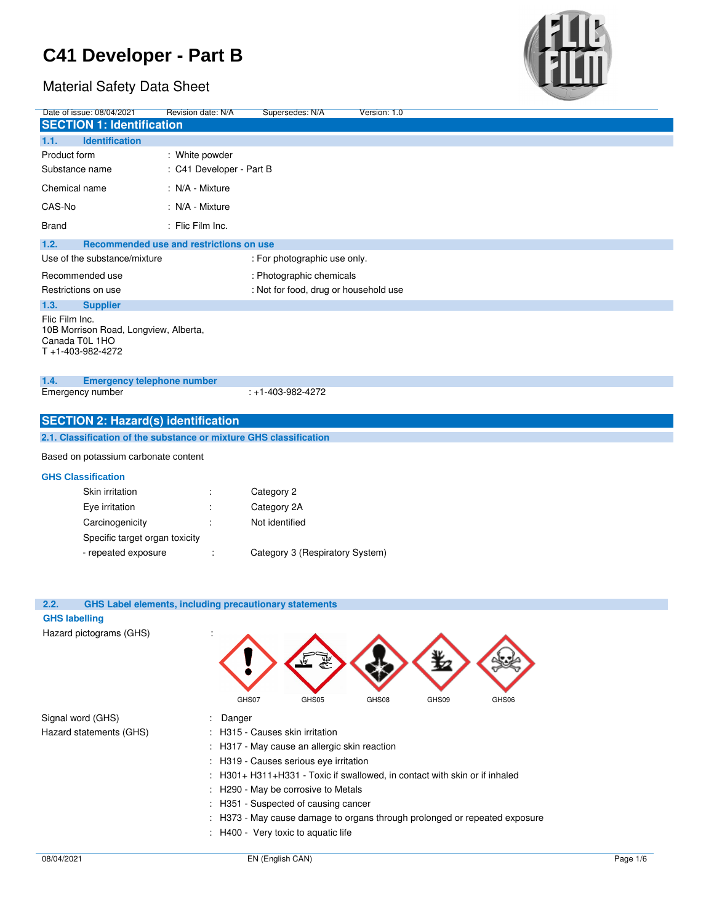## Material Safety Data Sheet



| Date of issue: 08/04/2021                             |                                       | Revision date: N/A                         | Supersedes: N/A                                                    | Version: 1.0 |
|-------------------------------------------------------|---------------------------------------|--------------------------------------------|--------------------------------------------------------------------|--------------|
|                                                       | <b>SECTION 1: Identification</b>      |                                            |                                                                    |              |
| 1.1.                                                  | <b>Identification</b>                 |                                            |                                                                    |              |
| Product form                                          |                                       | : White powder                             |                                                                    |              |
| Substance name                                        |                                       | : C41 Developer - Part B                   |                                                                    |              |
| Chemical name                                         |                                       | : N/A - Mixture                            |                                                                    |              |
| CAS-No                                                |                                       | : N/A - Mixture                            |                                                                    |              |
| <b>Brand</b>                                          |                                       | : Flic Film Inc.                           |                                                                    |              |
| 1.2.                                                  |                                       | Recommended use and restrictions on use    |                                                                    |              |
|                                                       | Use of the substance/mixture          |                                            | : For photographic use only.                                       |              |
| Recommended use                                       |                                       |                                            | : Photographic chemicals                                           |              |
| Restrictions on use                                   |                                       |                                            | : Not for food, drug or household use                              |              |
| 1.3.                                                  | <b>Supplier</b>                       |                                            |                                                                    |              |
| Flic Film Inc.<br>Canada T0L 1HO<br>T +1-403-982-4272 | 10B Morrison Road, Longview, Alberta, |                                            |                                                                    |              |
| 1.4.                                                  | <b>Emergency telephone number</b>     |                                            |                                                                    |              |
| Emergency number                                      |                                       |                                            | $: +1 - 403 - 982 - 4272$                                          |              |
|                                                       |                                       | <b>SECTION 2: Hazard(s) identification</b> |                                                                    |              |
|                                                       |                                       |                                            | 2.1. Classification of the substance or mixture GHS classification |              |
|                                                       | Based on potassium carbonate content  |                                            |                                                                    |              |
| <b>GHS Classification</b>                             |                                       |                                            |                                                                    |              |
|                                                       | Skin irritation                       |                                            | Category 2                                                         |              |
|                                                       | Eye irritation                        |                                            | Category 2A                                                        |              |
|                                                       | Carcinogenicity                       |                                            | Not identified                                                     |              |
|                                                       | Specific target organ toxicity        |                                            |                                                                    |              |
|                                                       | - repeated exposure                   |                                            | Category 3 (Respiratory System)                                    |              |
|                                                       |                                       |                                            |                                                                    |              |

## **2.2. GHS Label elements, including precautionary statements**

### **GHS labelling**

Hazard pictograms (GHS) :

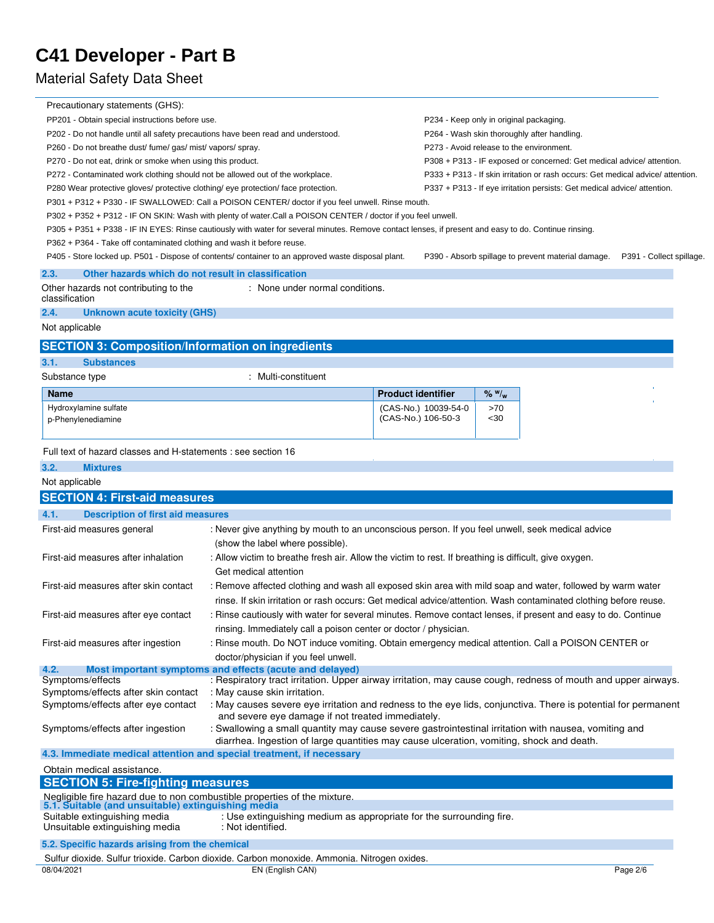## Material Safety Data Sheet

| Precautionary statements (GHS):                                                                                                |                                                                                                                                                                  |                                                                                        |                                                                       |                                                                                 |                          |  |
|--------------------------------------------------------------------------------------------------------------------------------|------------------------------------------------------------------------------------------------------------------------------------------------------------------|----------------------------------------------------------------------------------------|-----------------------------------------------------------------------|---------------------------------------------------------------------------------|--------------------------|--|
| PP201 - Obtain special instructions before use.                                                                                |                                                                                                                                                                  |                                                                                        |                                                                       |                                                                                 |                          |  |
| P202 - Do not handle until all safety precautions have been read and understood.                                               |                                                                                                                                                                  | P234 - Keep only in original packaging.<br>P264 - Wash skin thoroughly after handling. |                                                                       |                                                                                 |                          |  |
| P260 - Do not breathe dust/ fume/ gas/ mist/ vapors/ spray.                                                                    |                                                                                                                                                                  |                                                                                        | P273 - Avoid release to the environment.                              |                                                                                 |                          |  |
| P270 - Do not eat, drink or smoke when using this product.                                                                     |                                                                                                                                                                  |                                                                                        | P308 + P313 - IF exposed or concerned: Get medical advice/ attention. |                                                                                 |                          |  |
| P272 - Contaminated work clothing should not be allowed out of the workplace.                                                  |                                                                                                                                                                  |                                                                                        |                                                                       | P333 + P313 - If skin irritation or rash occurs: Get medical advice/ attention. |                          |  |
| P280 Wear protective gloves/ protective clothing/ eye protection/ face protection.                                             |                                                                                                                                                                  |                                                                                        |                                                                       | P337 + P313 - If eye irritation persists: Get medical advice/ attention.        |                          |  |
|                                                                                                                                | P301 + P312 + P330 - IF SWALLOWED: Call a POISON CENTER/ doctor if you feel unwell. Rinse mouth.                                                                 |                                                                                        |                                                                       |                                                                                 |                          |  |
|                                                                                                                                | P302 + P352 + P312 - IF ON SKIN: Wash with plenty of water.Call a POISON CENTER / doctor if you feel unwell.                                                     |                                                                                        |                                                                       |                                                                                 |                          |  |
|                                                                                                                                | P305 + P351 + P338 - IF IN EYES: Rinse cautiously with water for several minutes. Remove contact lenses, if present and easy to do. Continue rinsing.            |                                                                                        |                                                                       |                                                                                 |                          |  |
| P362 + P364 - Take off contaminated clothing and wash it before reuse.                                                         |                                                                                                                                                                  |                                                                                        |                                                                       |                                                                                 |                          |  |
|                                                                                                                                | P405 - Store locked up. P501 - Dispose of contents/ container to an approved waste disposal plant.                                                               |                                                                                        |                                                                       | P390 - Absorb spillage to prevent material damage.                              | P391 - Collect spillage. |  |
|                                                                                                                                |                                                                                                                                                                  |                                                                                        |                                                                       |                                                                                 |                          |  |
| 2.3.<br>Other hazards which do not result in classification<br>Other hazards not contributing to the<br>classification         | : None under normal conditions.                                                                                                                                  |                                                                                        |                                                                       |                                                                                 |                          |  |
| 2.4.<br><b>Unknown acute toxicity (GHS)</b>                                                                                    |                                                                                                                                                                  |                                                                                        |                                                                       |                                                                                 |                          |  |
| Not applicable                                                                                                                 |                                                                                                                                                                  |                                                                                        |                                                                       |                                                                                 |                          |  |
|                                                                                                                                |                                                                                                                                                                  |                                                                                        |                                                                       |                                                                                 |                          |  |
| <b>SECTION 3: Composition/Information on ingredients</b>                                                                       |                                                                                                                                                                  |                                                                                        |                                                                       |                                                                                 |                          |  |
| <b>Substances</b><br>3.1.                                                                                                      |                                                                                                                                                                  |                                                                                        |                                                                       |                                                                                 |                          |  |
| Substance type                                                                                                                 | : Multi-constituent                                                                                                                                              |                                                                                        |                                                                       |                                                                                 |                          |  |
| <b>Name</b>                                                                                                                    |                                                                                                                                                                  | <b>Product identifier</b>                                                              | $%$ $W_{w}$                                                           |                                                                                 |                          |  |
| Hydroxylamine sulfate                                                                                                          |                                                                                                                                                                  | (CAS-No.) 10039-54-0                                                                   | >70                                                                   |                                                                                 |                          |  |
| p-Phenylenediamine                                                                                                             |                                                                                                                                                                  | (CAS-No.) 106-50-3                                                                     | $30$                                                                  |                                                                                 |                          |  |
|                                                                                                                                |                                                                                                                                                                  |                                                                                        |                                                                       |                                                                                 |                          |  |
| 3.2.<br><b>Mixtures</b><br>Not applicable                                                                                      |                                                                                                                                                                  |                                                                                        |                                                                       |                                                                                 |                          |  |
| <b>SECTION 4: First-aid measures</b>                                                                                           |                                                                                                                                                                  |                                                                                        |                                                                       |                                                                                 |                          |  |
| 4.1.<br><b>Description of first aid measures</b>                                                                               |                                                                                                                                                                  |                                                                                        |                                                                       |                                                                                 |                          |  |
| First-aid measures general                                                                                                     | : Never give anything by mouth to an unconscious person. If you feel unwell, seek medical advice<br>(show the label where possible).                             |                                                                                        |                                                                       |                                                                                 |                          |  |
| First-aid measures after inhalation                                                                                            | : Allow victim to breathe fresh air. Allow the victim to rest. If breathing is difficult, give oxygen.<br>Get medical attention                                  |                                                                                        |                                                                       |                                                                                 |                          |  |
| First-aid measures after skin contact                                                                                          | : Remove affected clothing and wash all exposed skin area with mild soap and water, followed by warm water                                                       |                                                                                        |                                                                       |                                                                                 |                          |  |
|                                                                                                                                | rinse. If skin irritation or rash occurs: Get medical advice/attention. Wash contaminated clothing before reuse.                                                 |                                                                                        |                                                                       |                                                                                 |                          |  |
| First-aid measures after eye contact                                                                                           | : Rinse cautiously with water for several minutes. Remove contact lenses, if present and easy to do. Continue                                                    |                                                                                        |                                                                       |                                                                                 |                          |  |
|                                                                                                                                | rinsing. Immediately call a poison center or doctor / physician.                                                                                                 |                                                                                        |                                                                       |                                                                                 |                          |  |
| First-aid measures after ingestion                                                                                             | : Rinse mouth. Do NOT induce vomiting. Obtain emergency medical attention. Call a POISON CENTER or                                                               |                                                                                        |                                                                       |                                                                                 |                          |  |
|                                                                                                                                | doctor/physician if you feel unwell.                                                                                                                             |                                                                                        |                                                                       |                                                                                 |                          |  |
| 4.2.                                                                                                                           | Most important symptoms and effects (acute and delayed)                                                                                                          |                                                                                        |                                                                       |                                                                                 |                          |  |
| Symptoms/effects                                                                                                               | : Respiratory tract irritation. Upper airway irritation, may cause cough, redness of mouth and upper airways.                                                    |                                                                                        |                                                                       |                                                                                 |                          |  |
| Symptoms/effects after skin contact                                                                                            | : May cause skin irritation.                                                                                                                                     |                                                                                        |                                                                       |                                                                                 |                          |  |
| Symptoms/effects after eye contact                                                                                             | : May causes severe eye irritation and redness to the eye lids, conjunctiva. There is potential for permanent                                                    |                                                                                        |                                                                       |                                                                                 |                          |  |
| Symptoms/effects after ingestion                                                                                               | and severe eye damage if not treated immediately.<br>: Swallowing a small quantity may cause severe gastrointestinal irritation with nausea, vomiting and        |                                                                                        |                                                                       |                                                                                 |                          |  |
|                                                                                                                                | diarrhea. Ingestion of large quantities may cause ulceration, vomiting, shock and death.<br>4.3. Immediate medical attention and special treatment, if necessary |                                                                                        |                                                                       |                                                                                 |                          |  |
|                                                                                                                                |                                                                                                                                                                  |                                                                                        |                                                                       |                                                                                 |                          |  |
| Obtain medical assistance.<br><b>SECTION 5: Fire-fighting measures</b>                                                         |                                                                                                                                                                  |                                                                                        |                                                                       |                                                                                 |                          |  |
| Negligible fire hazard due to non combustible properties of the mixture.<br>5.1. Suitable (and unsuitable) extinguishing media |                                                                                                                                                                  |                                                                                        |                                                                       |                                                                                 |                          |  |
| Suitable extinguishing media                                                                                                   | : Use extinguishing medium as appropriate for the surrounding fire.                                                                                              |                                                                                        |                                                                       |                                                                                 |                          |  |
| Unsuitable extinguishing media                                                                                                 | : Not identified.                                                                                                                                                |                                                                                        |                                                                       |                                                                                 |                          |  |
|                                                                                                                                |                                                                                                                                                                  |                                                                                        |                                                                       |                                                                                 |                          |  |

**5.2. Specific hazards arising from the chemical**

|            | Sulfur dioxide. Sulfur trioxide. Carbon dioxide. Carbon monoxide. Ammonia. Nitrogen oxides. |          |
|------------|---------------------------------------------------------------------------------------------|----------|
| 08/04/2021 | EN (English CAN)                                                                            | Page 2/6 |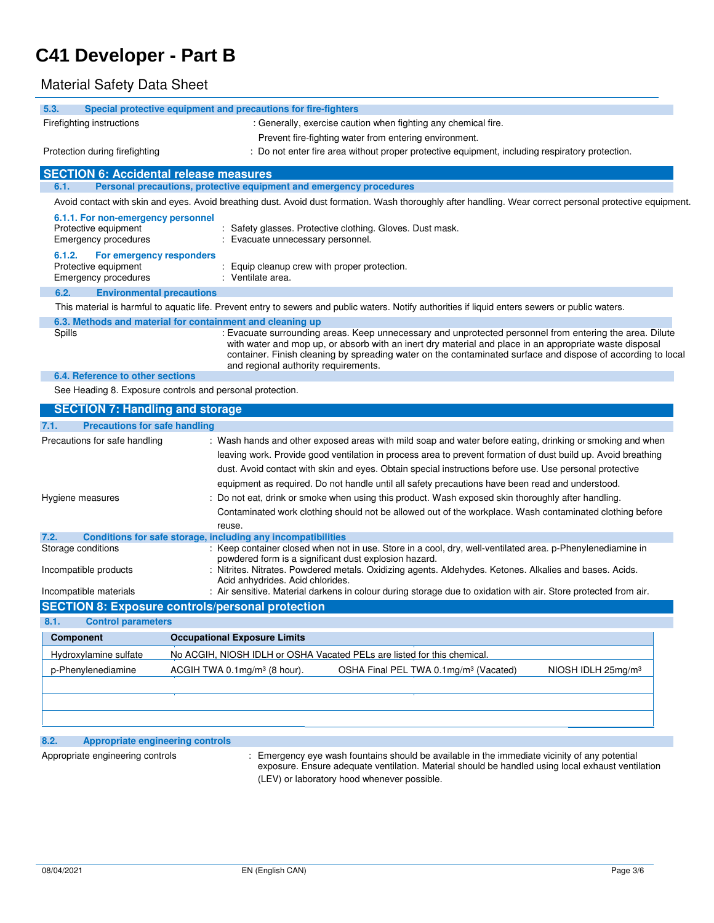## Material Safety Data Sheet

| 5.3.<br>Firefighting instructions<br>Protection during firefighting | Special protective equipment and precautions for fire-fighters<br>: Generally, exercise caution when fighting any chemical fire.<br>Prevent fire-fighting water from entering environment.                                                                    |
|---------------------------------------------------------------------|---------------------------------------------------------------------------------------------------------------------------------------------------------------------------------------------------------------------------------------------------------------|
|                                                                     |                                                                                                                                                                                                                                                               |
|                                                                     |                                                                                                                                                                                                                                                               |
|                                                                     |                                                                                                                                                                                                                                                               |
|                                                                     | : Do not enter fire area without proper protective equipment, including respiratory protection.                                                                                                                                                               |
| <b>SECTION 6: Accidental release measures</b>                       |                                                                                                                                                                                                                                                               |
| 6.1.                                                                | Personal precautions, protective equipment and emergency procedures                                                                                                                                                                                           |
|                                                                     | Avoid contact with skin and eyes. Avoid breathing dust. Avoid dust formation. Wash thoroughly after handling. Wear correct personal protective equipment.                                                                                                     |
| 6.1.1. For non-emergency personnel                                  |                                                                                                                                                                                                                                                               |
| Protective equipment                                                | Safety glasses. Protective clothing. Gloves. Dust mask.                                                                                                                                                                                                       |
| Emergency procedures                                                | Evacuate unnecessary personnel.                                                                                                                                                                                                                               |
| 6.1.2.<br>For emergency responders                                  |                                                                                                                                                                                                                                                               |
| Protective equipment<br>Emergency procedures                        | : Equip cleanup crew with proper protection.<br>: Ventilate area.                                                                                                                                                                                             |
| 6.2.<br><b>Environmental precautions</b>                            |                                                                                                                                                                                                                                                               |
|                                                                     | This material is harmful to aquatic life. Prevent entry to sewers and public waters. Notify authorities if liquid enters sewers or public waters.                                                                                                             |
|                                                                     |                                                                                                                                                                                                                                                               |
| Spills                                                              | 6.3. Methods and material for containment and cleaning up<br>: Evacuate surrounding areas. Keep unnecessary and unprotected personnel from entering the area. Dilute                                                                                          |
|                                                                     | with water and mop up, or absorb with an inert dry material and place in an appropriate waste disposal<br>container. Finish cleaning by spreading water on the contaminated surface and dispose of according to local<br>and regional authority requirements. |
| 6.4. Reference to other sections                                    |                                                                                                                                                                                                                                                               |
| See Heading 8. Exposure controls and personal protection.           |                                                                                                                                                                                                                                                               |
| <b>SECTION 7: Handling and storage</b>                              |                                                                                                                                                                                                                                                               |
| <b>Precautions for safe handling</b><br>7.1.                        |                                                                                                                                                                                                                                                               |
| Precautions for safe handling                                       | : Wash hands and other exposed areas with mild soap and water before eating, drinking or smoking and when                                                                                                                                                     |
|                                                                     | leaving work. Provide good ventilation in process area to prevent formation of dust build up. Avoid breathing                                                                                                                                                 |
|                                                                     | dust. Avoid contact with skin and eyes. Obtain special instructions before use. Use personal protective                                                                                                                                                       |
|                                                                     | equipment as required. Do not handle until all safety precautions have been read and understood.                                                                                                                                                              |
| Hygiene measures                                                    | : Do not eat, drink or smoke when using this product. Wash exposed skin thoroughly after handling.                                                                                                                                                            |
|                                                                     |                                                                                                                                                                                                                                                               |
|                                                                     | Contaminated work clothing should not be allowed out of the workplace. Wash contaminated clothing before                                                                                                                                                      |
| 7.2.                                                                | reuse.<br>Conditions for safe storage, including any incompatibilities                                                                                                                                                                                        |
| Storage conditions                                                  | : Keep container closed when not in use. Store in a cool, dry, well-ventilated area. p-Phenylenediamine in                                                                                                                                                    |
|                                                                     | powdered form is a significant dust explosion hazard.                                                                                                                                                                                                         |
| Incompatible products                                               | : Nitrites. Nitrates. Powdered metals. Oxidizing agents. Aldehydes. Ketones. Alkalies and bases. Acids.<br>Acid anhydrides. Acid chlorides.                                                                                                                   |
| Incompatible materials                                              | : Air sensitive. Material darkens in colour during storage due to oxidation with air. Store protected from air.                                                                                                                                               |
|                                                                     | <b>SECTION 8: Exposure controls/personal protection</b>                                                                                                                                                                                                       |
| 8.1.<br><b>Control parameters</b>                                   |                                                                                                                                                                                                                                                               |
| <b>Component</b>                                                    | <b>Occupational Exposure Limits</b>                                                                                                                                                                                                                           |
|                                                                     | No ACGIH, NIOSH IDLH or OSHA Vacated PELs are listed for this chemical                                                                                                                                                                                        |
|                                                                     |                                                                                                                                                                                                                                                               |
| Hydroxylamine sulfate<br>p-Phenylenediamine                         | ACGIH TWA 0.1mg/m <sup>3</sup> (8 hour).<br>OSHA Final PEL TWA 0.1mg/m <sup>3</sup> (Vacated)<br>NIOSH IDLH $25mg/m3$                                                                                                                                         |

## **8.2. Appropriate engineering controls**

Appropriate engineering controls : Emergency eye wash fountains should be available in the immediate vicinity of any potential exposure. Ensure adequate ventilation. Material should be handled using local exhaust ventilation (LEV) or laboratory hood whenever possible.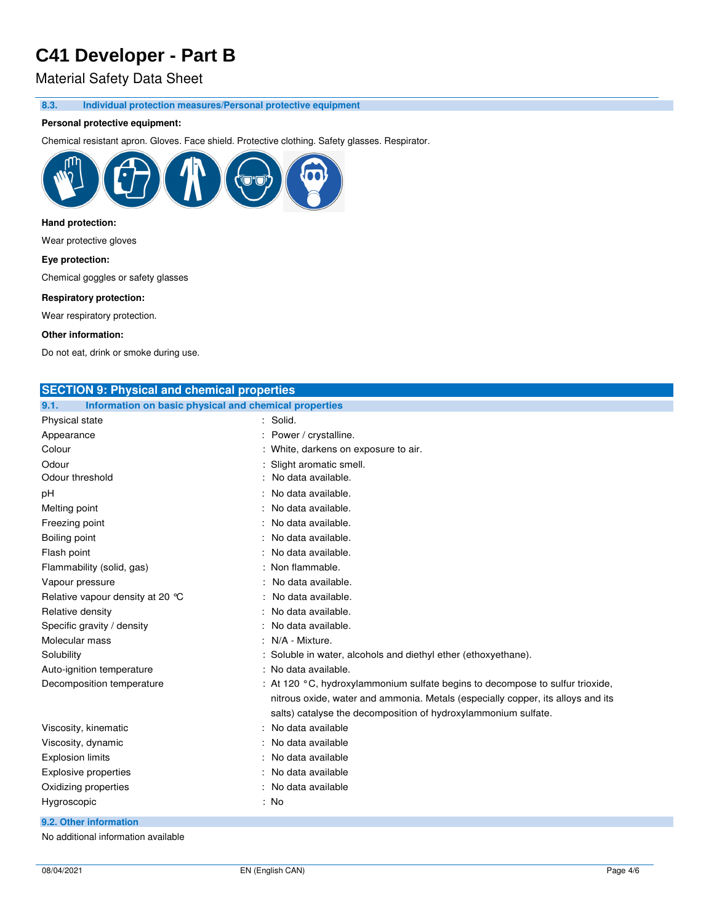## Material Safety Data Sheet

**8.3. Individual protection measures/Personal protective equipment** 

### **Personal protective equipment:**

Chemical resistant apron. Gloves. Face shield. Protective clothing. Safety glasses. Respirator.



## **Hand protection:**

Wear protective gloves

#### **Eye protection:**

Chemical goggles or safety glasses

#### **Respiratory protection:**

Wear respiratory protection.

#### **Other information:**

Do not eat, drink or smoke during use.

| <b>SECTION 9: Physical and chemical properties</b>            |                                                                                 |
|---------------------------------------------------------------|---------------------------------------------------------------------------------|
| Information on basic physical and chemical properties<br>9.1. |                                                                                 |
| Physical state                                                | Solid.                                                                          |
| Appearance                                                    | Power / crystalline.                                                            |
| Colour                                                        | White, darkens on exposure to air.                                              |
| Odour                                                         | Slight aromatic smell.                                                          |
| Odour threshold                                               | No data available.                                                              |
| рH                                                            | No data available.                                                              |
| Melting point                                                 | No data available.                                                              |
| Freezing point                                                | No data available.                                                              |
| Boiling point                                                 | No data available.                                                              |
| Flash point                                                   | No data available.                                                              |
| Flammability (solid, gas)                                     | Non flammable.                                                                  |
| Vapour pressure                                               | No data available.                                                              |
| Relative vapour density at 20 °C                              | No data available.                                                              |
| Relative density                                              | No data available.                                                              |
| Specific gravity / density                                    | No data available.                                                              |
| Molecular mass                                                | N/A - Mixture.                                                                  |
| Solubility                                                    | Soluble in water, alcohols and diethyl ether (ethoxyethane).                    |
| Auto-ignition temperature                                     | : No data available.                                                            |
| Decomposition temperature                                     | : At 120 °C, hydroxylammonium sulfate begins to decompose to sulfur trioxide,   |
|                                                               | nitrous oxide, water and ammonia. Metals (especially copper, its alloys and its |
|                                                               | salts) catalyse the decomposition of hydroxylammonium sulfate.                  |
| Viscosity, kinematic                                          | No data available                                                               |
| Viscosity, dynamic                                            | No data available                                                               |
| <b>Explosion limits</b>                                       | No data available                                                               |
| <b>Explosive properties</b>                                   | No data available                                                               |
| Oxidizing properties                                          | No data available                                                               |
| Hygroscopic                                                   | : No                                                                            |

### **9.2. Other information**

No additional information available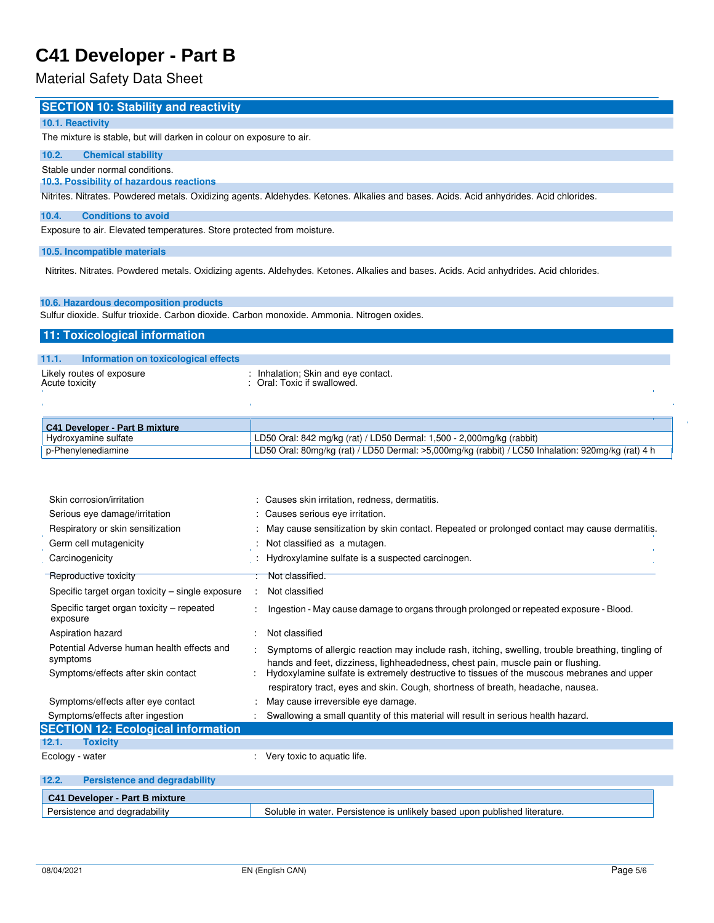## Material Safety Data Sheet

## **SECTION 10: Stability and reactivity**

#### **10.1. Reactivity**

The mixture is stable, but will darken in colour on exposure to air.

#### **10.2. Chemical stability**

Stable under normal conditions.

### **10.3. Possibility of hazardous reactions**

Nitrites. Nitrates. Powdered metals. Oxidizing agents. Aldehydes. Ketones. Alkalies and bases. Acids. Acid anhydrides. Acid chlorides.

#### **10.4. Conditions to avoid**

Exposure to air. Elevated temperatures. Store protected from moisture.

#### **10.5. Incompatible materials**

Nitrites. Nitrates. Powdered metals. Oxidizing agents. Aldehydes. Ketones. Alkalies and bases. Acids. Acid anhydrides. Acid chlorides.

#### **10.6. Hazardous decomposition products**

Sulfur dioxide. Sulfur trioxide. Carbon dioxide. Carbon monoxide. Ammonia. Nitrogen oxides.

#### **11: Toxicological information**

| 11.1.          | Information on toxicological effects |                                                                    |  |
|----------------|--------------------------------------|--------------------------------------------------------------------|--|
| Acute toxicity | Likely routes of exposure            | : Inhalation; Skin and eye contact.<br>: Oral: Toxic if swallowed. |  |
|                |                                      |                                                                    |  |

| C41 Developer - Part B mixture |                                                                                                      |
|--------------------------------|------------------------------------------------------------------------------------------------------|
| Hydroxyamine sulfate           | LD50 Oral: 842 mg/kg (rat) / LD50 Dermal: 1,500 - 2,000mg/kg (rabbit)                                |
| p-Phenylenediamine             | LD50 Oral: 80mg/kg (rat) / LD50 Dermal: >5,000mg/kg (rabbit) / LC50 Inhalation: 920mg/kg (rat) 4 h L |

| Skin corrosion/irritation                              |      | : Causes skin irritation, redness, dermatitis.                                                                                                                                       |
|--------------------------------------------------------|------|--------------------------------------------------------------------------------------------------------------------------------------------------------------------------------------|
| Serious eye damage/irritation                          |      | : Causes serious eye irritation.                                                                                                                                                     |
| Respiratory or skin sensitization                      |      | : May cause sensitization by skin contact. Repeated or prolonged contact may cause dermatitis.                                                                                       |
| Germ cell mutagenicity                                 |      | Not classified as a mutagen.                                                                                                                                                         |
| Carcinogenicity                                        | - 11 | Hydroxylamine sulfate is a suspected carcinogen.                                                                                                                                     |
| Reproductive toxicity                                  |      | : Not classified.                                                                                                                                                                    |
| Specific target organ toxicity – single exposure       |      | Not classified                                                                                                                                                                       |
| Specific target organ toxicity – repeated<br>exposure  |      | Ingestion - May cause damage to organs through prolonged or repeated exposure - Blood.                                                                                               |
| Aspiration hazard                                      |      | Not classified                                                                                                                                                                       |
| Potential Adverse human health effects and<br>symptoms |      | Symptoms of allergic reaction may include rash, itching, swelling, trouble breathing, tingling of<br>hands and feet, dizziness, lighheadedness, chest pain, muscle pain or flushing. |
| Symptoms/effects after skin contact                    |      | Hydoxylamine sulfate is extremely destructive to tissues of the muscous mebranes and upper                                                                                           |
|                                                        |      | respiratory tract, eyes and skin. Cough, shortness of breath, headache, nausea.                                                                                                      |
| Symptoms/effects after eye contact                     |      | May cause irreversible eye damage.                                                                                                                                                   |
| Symptoms/effects after ingestion                       |      | Swallowing a small quantity of this material will result in serious health hazard.                                                                                                   |
| <b>SECTION 12: Ecological information</b>              |      |                                                                                                                                                                                      |
| 12.1.<br><b>Toxicity</b>                               |      |                                                                                                                                                                                      |
| Ecology - water                                        |      | Very toxic to aquatic life.                                                                                                                                                          |

| 12.2<br><b>Persistence and degradability</b> |                                                                            |
|----------------------------------------------|----------------------------------------------------------------------------|
| C41 Developer - Part B mixture               |                                                                            |
| Persistence and degradability                | Soluble in water. Persistence is unlikely based upon published literature. |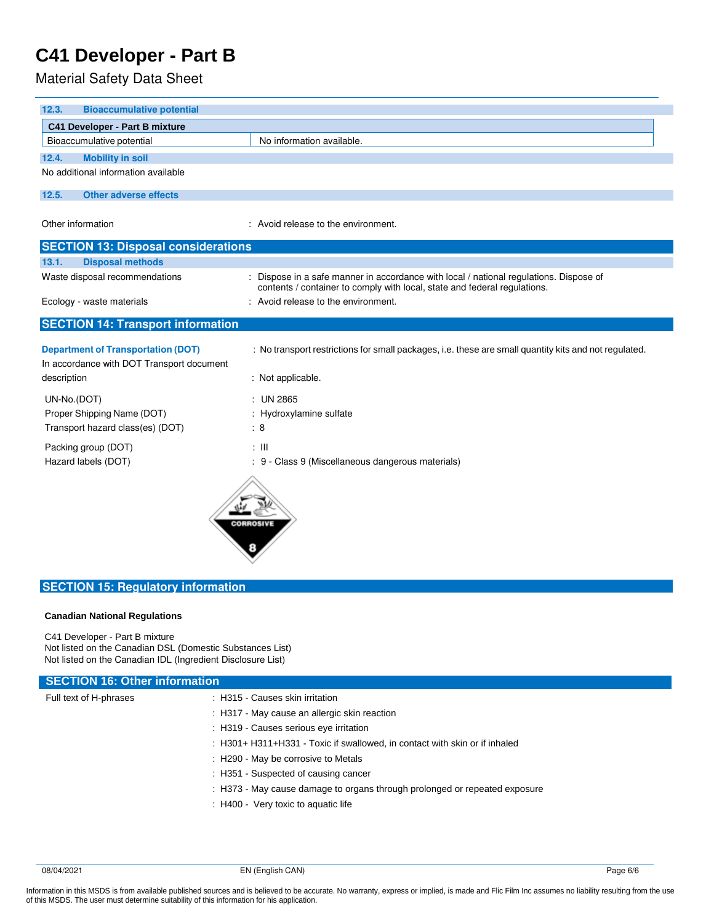Material Safety Data Sheet

| 12.3.<br><b>Bioaccumulative potential</b>                                                             |                                                                                                                                                                     |
|-------------------------------------------------------------------------------------------------------|---------------------------------------------------------------------------------------------------------------------------------------------------------------------|
| <b>C41 Developer - Part B mixture</b>                                                                 |                                                                                                                                                                     |
| Bioaccumulative potential                                                                             | No information available.                                                                                                                                           |
| 12.4.<br><b>Mobility in soil</b>                                                                      |                                                                                                                                                                     |
| No additional information available                                                                   |                                                                                                                                                                     |
| 12.5.<br><b>Other adverse effects</b>                                                                 |                                                                                                                                                                     |
| Other information                                                                                     | : Avoid release to the environment.                                                                                                                                 |
| <b>SECTION 13: Disposal considerations</b>                                                            |                                                                                                                                                                     |
| <b>Disposal methods</b><br>13.1.                                                                      |                                                                                                                                                                     |
| Waste disposal recommendations                                                                        | : Dispose in a safe manner in accordance with local / national regulations. Dispose of<br>contents / container to comply with local, state and federal regulations. |
| Ecology - waste materials                                                                             | : Avoid release to the environment.                                                                                                                                 |
| <b>SECTION 14: Transport information</b>                                                              |                                                                                                                                                                     |
| <b>Department of Transportation (DOT)</b><br>In accordance with DOT Transport document<br>description | : No transport restrictions for small packages, i.e. these are small quantity kits and not regulated.<br>: Not applicable.                                          |
|                                                                                                       |                                                                                                                                                                     |
| UN-No.(DOT)                                                                                           | : UN 2865                                                                                                                                                           |
| Proper Shipping Name (DOT)                                                                            | : Hydroxylamine sulfate                                                                                                                                             |
| Transport hazard class(es) (DOT)                                                                      | : 8                                                                                                                                                                 |
| Packing group (DOT)                                                                                   | : III                                                                                                                                                               |
| Hazard labels (DOT)                                                                                   | : 9 - Class 9 (Miscellaneous dangerous materials)                                                                                                                   |
|                                                                                                       | <b>CORROSIVE</b>                                                                                                                                                    |

## **SECTION 15: Regulatory information**

### **Canadian National Regulations**

C41 Developer - Part B mixture Not listed on the Canadian DSL (Domestic Substances List) Not listed on the Canadian IDL (Ingredient Disclosure List)

## **SECTION 16: Other information**

- Full text of H-phrases : H315 Causes skin irritation
	- : H317 May cause an allergic skin reaction
	- : H319 Causes serious eye irritation
	- : H301+ H311+H331 Toxic if swallowed, in contact with skin or if inhaled
	- : H290 May be corrosive to Metals
	- : H351 Suspected of causing cancer
	- : H373 May cause damage to organs through prolonged or repeated exposure
	- : H400 Very toxic to aquatic life

Information in this MSDS is from available published sources and is believed to be accurate. No warranty, express or implied, is made and Flic Film Inc assumes no liability resulting from the use of this MSDS. The user must determine suitability of this information for his application.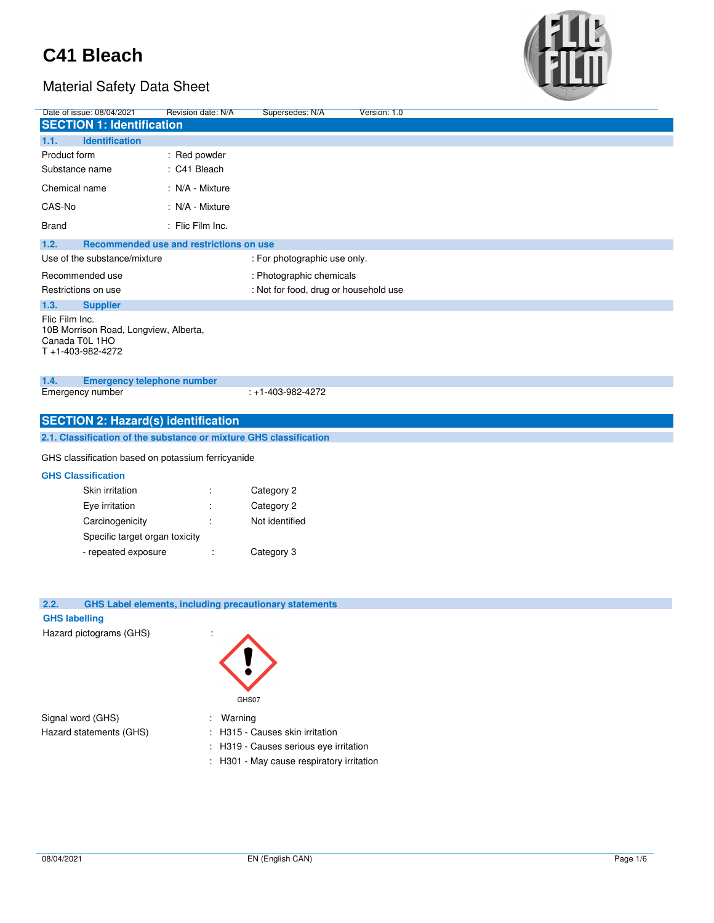

| Date of issue: 08/04/2021                                                                     | Revision date: N/A                      | Supersedes: N/A                                               | Version: 1.0 |  |
|-----------------------------------------------------------------------------------------------|-----------------------------------------|---------------------------------------------------------------|--------------|--|
| <b>SECTION 1: Identification</b>                                                              |                                         |                                                               |              |  |
| 1.1.<br><b>Identification</b>                                                                 |                                         |                                                               |              |  |
| Product form                                                                                  | : Red powder                            |                                                               |              |  |
| Substance name                                                                                | : C41 Bleach                            |                                                               |              |  |
| Chemical name                                                                                 | : N/A - Mixture                         |                                                               |              |  |
| CAS-No                                                                                        | : N/A - Mixture                         |                                                               |              |  |
| <b>Brand</b>                                                                                  | : Flic Film Inc.                        |                                                               |              |  |
| 1.2.                                                                                          | Recommended use and restrictions on use |                                                               |              |  |
| Use of the substance/mixture                                                                  |                                         | : For photographic use only.                                  |              |  |
| Recommended use                                                                               |                                         | : Photographic chemicals                                      |              |  |
| Restrictions on use                                                                           |                                         | : Not for food, drug or household use                         |              |  |
| 1.3.<br><b>Supplier</b>                                                                       |                                         |                                                               |              |  |
| Flic Film Inc.<br>10B Morrison Road, Longview, Alberta,<br>Canada T0L 1HO<br>T+1-403-982-4272 |                                         |                                                               |              |  |
| 1.4.<br><b>Emergency telephone number</b>                                                     |                                         |                                                               |              |  |
| Emergency number                                                                              |                                         | $: +1 - 403 - 982 - 4272$                                     |              |  |
| <b>SECTION 2: Hazard(s) identification</b>                                                    |                                         |                                                               |              |  |
| 2.1. Classification of the substance or mixture GHS classification                            |                                         |                                                               |              |  |
| GHS classification based on potassium ferricyanide                                            |                                         |                                                               |              |  |
| <b>GHS Classification</b>                                                                     |                                         |                                                               |              |  |
| Skin irritation                                                                               | ÷                                       | Category 2                                                    |              |  |
| Eye irritation                                                                                | ÷                                       | Category 2                                                    |              |  |
| Carcinogenicity                                                                               | ÷                                       | Not identified                                                |              |  |
| Specific target organ toxicity                                                                |                                         |                                                               |              |  |
| - repeated exposure                                                                           | t                                       | Category 3                                                    |              |  |
|                                                                                               |                                         |                                                               |              |  |
|                                                                                               |                                         |                                                               |              |  |
| 2.2.                                                                                          |                                         | <b>GHS Label elements, including precautionary statements</b> |              |  |
| <b>GHS labelling</b><br>Hazard pictograms (GHS)                                               |                                         |                                                               |              |  |
|                                                                                               |                                         |                                                               |              |  |
|                                                                                               |                                         | GHS07                                                         |              |  |
| Signal word (GHS)                                                                             | Warning                                 |                                                               |              |  |
| Hazard statements (GHS)                                                                       |                                         | H315 - Causes skin irritation                                 |              |  |
|                                                                                               |                                         | H319 - Causes serious eye irritation                          |              |  |
|                                                                                               |                                         | : H301 - May cause respiratory irritation                     |              |  |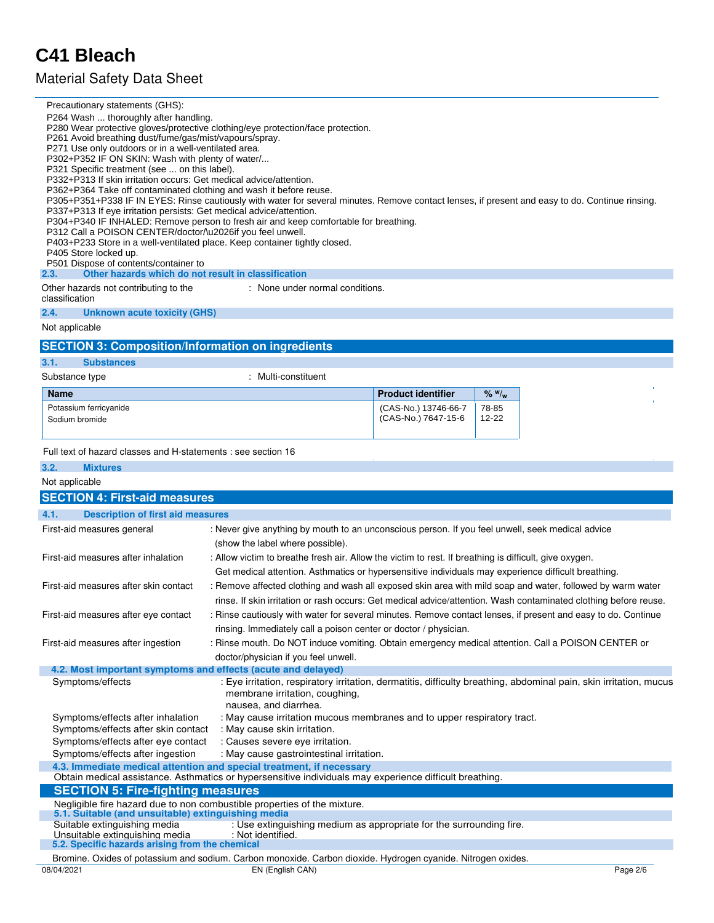## Material Safety Data Sheet

Precautionary statements (GHS):

| P264 Wash  thoroughly after handling.<br>P261 Avoid breathing dust/fume/gas/mist/vapours/spray.<br>P271 Use only outdoors or in a well-ventilated area.<br>P302+P352 IF ON SKIN: Wash with plenty of water/<br>P321 Specific treatment (see  on this label).<br>P332+P313 If skin irritation occurs: Get medical advice/attention.<br>P362+P364 Take off contaminated clothing and wash it before reuse.<br>P337+P313 If eye irritation persists: Get medical advice/attention.<br>P312 Call a POISON CENTER/doctor/\u2026if you feel unwell.<br>P405 Store locked up.<br>P501 Dispose of contents/container to<br>Other hazards which do not result in classification<br>2.3. | P280 Wear protective gloves/protective clothing/eye protection/face protection.<br>P305+P351+P338 IF IN EYES: Rinse cautiously with water for several minutes. Remove contact lenses, if present and easy to do. Continue rinsing.<br>P304+P340 IF INHALED: Remove person to fresh air and keep comfortable for breathing.<br>P403+P233 Store in a well-ventilated place. Keep container tightly closed. |                           |             |          |
|--------------------------------------------------------------------------------------------------------------------------------------------------------------------------------------------------------------------------------------------------------------------------------------------------------------------------------------------------------------------------------------------------------------------------------------------------------------------------------------------------------------------------------------------------------------------------------------------------------------------------------------------------------------------------------|----------------------------------------------------------------------------------------------------------------------------------------------------------------------------------------------------------------------------------------------------------------------------------------------------------------------------------------------------------------------------------------------------------|---------------------------|-------------|----------|
| Other hazards not contributing to the<br>classification                                                                                                                                                                                                                                                                                                                                                                                                                                                                                                                                                                                                                        | : None under normal conditions.                                                                                                                                                                                                                                                                                                                                                                          |                           |             |          |
| 2.4.<br><b>Unknown acute toxicity (GHS)</b>                                                                                                                                                                                                                                                                                                                                                                                                                                                                                                                                                                                                                                    |                                                                                                                                                                                                                                                                                                                                                                                                          |                           |             |          |
| Not applicable                                                                                                                                                                                                                                                                                                                                                                                                                                                                                                                                                                                                                                                                 |                                                                                                                                                                                                                                                                                                                                                                                                          |                           |             |          |
| <b>SECTION 3: Composition/Information on ingredients</b>                                                                                                                                                                                                                                                                                                                                                                                                                                                                                                                                                                                                                       |                                                                                                                                                                                                                                                                                                                                                                                                          |                           |             |          |
| 3.1.<br><b>Substances</b>                                                                                                                                                                                                                                                                                                                                                                                                                                                                                                                                                                                                                                                      |                                                                                                                                                                                                                                                                                                                                                                                                          |                           |             |          |
| Substance type                                                                                                                                                                                                                                                                                                                                                                                                                                                                                                                                                                                                                                                                 | : Multi-constituent                                                                                                                                                                                                                                                                                                                                                                                      |                           |             |          |
| <b>Name</b>                                                                                                                                                                                                                                                                                                                                                                                                                                                                                                                                                                                                                                                                    |                                                                                                                                                                                                                                                                                                                                                                                                          | <b>Product identifier</b> | $%$ $W_{w}$ |          |
| Potassium ferricyanide                                                                                                                                                                                                                                                                                                                                                                                                                                                                                                                                                                                                                                                         |                                                                                                                                                                                                                                                                                                                                                                                                          | (CAS-No.) 13746-66-7      | 78-85       |          |
| Sodium bromide                                                                                                                                                                                                                                                                                                                                                                                                                                                                                                                                                                                                                                                                 |                                                                                                                                                                                                                                                                                                                                                                                                          | (CAS-No.) 7647-15-6       | 12-22       |          |
|                                                                                                                                                                                                                                                                                                                                                                                                                                                                                                                                                                                                                                                                                |                                                                                                                                                                                                                                                                                                                                                                                                          |                           |             |          |
| Full text of hazard classes and H-statements : see section 16                                                                                                                                                                                                                                                                                                                                                                                                                                                                                                                                                                                                                  |                                                                                                                                                                                                                                                                                                                                                                                                          |                           |             |          |
| 3.2.<br><b>Mixtures</b>                                                                                                                                                                                                                                                                                                                                                                                                                                                                                                                                                                                                                                                        |                                                                                                                                                                                                                                                                                                                                                                                                          |                           |             |          |
| Not applicable                                                                                                                                                                                                                                                                                                                                                                                                                                                                                                                                                                                                                                                                 |                                                                                                                                                                                                                                                                                                                                                                                                          |                           |             |          |
| <b>SECTION 4: First-aid measures</b>                                                                                                                                                                                                                                                                                                                                                                                                                                                                                                                                                                                                                                           |                                                                                                                                                                                                                                                                                                                                                                                                          |                           |             |          |
| 4.1.<br><b>Description of first aid measures</b>                                                                                                                                                                                                                                                                                                                                                                                                                                                                                                                                                                                                                               |                                                                                                                                                                                                                                                                                                                                                                                                          |                           |             |          |
| First-aid measures general                                                                                                                                                                                                                                                                                                                                                                                                                                                                                                                                                                                                                                                     | : Never give anything by mouth to an unconscious person. If you feel unwell, seek medical advice                                                                                                                                                                                                                                                                                                         |                           |             |          |
|                                                                                                                                                                                                                                                                                                                                                                                                                                                                                                                                                                                                                                                                                | (show the label where possible).                                                                                                                                                                                                                                                                                                                                                                         |                           |             |          |
| First-aid measures after inhalation                                                                                                                                                                                                                                                                                                                                                                                                                                                                                                                                                                                                                                            | : Allow victim to breathe fresh air. Allow the victim to rest. If breathing is difficult, give oxygen.                                                                                                                                                                                                                                                                                                   |                           |             |          |
|                                                                                                                                                                                                                                                                                                                                                                                                                                                                                                                                                                                                                                                                                | Get medical attention. Asthmatics or hypersensitive individuals may experience difficult breathing.                                                                                                                                                                                                                                                                                                      |                           |             |          |
| First-aid measures after skin contact                                                                                                                                                                                                                                                                                                                                                                                                                                                                                                                                                                                                                                          | : Remove affected clothing and wash all exposed skin area with mild soap and water, followed by warm water                                                                                                                                                                                                                                                                                               |                           |             |          |
|                                                                                                                                                                                                                                                                                                                                                                                                                                                                                                                                                                                                                                                                                | rinse. If skin irritation or rash occurs: Get medical advice/attention. Wash contaminated clothing before reuse.                                                                                                                                                                                                                                                                                         |                           |             |          |
| First-aid measures after eye contact                                                                                                                                                                                                                                                                                                                                                                                                                                                                                                                                                                                                                                           | : Rinse cautiously with water for several minutes. Remove contact lenses, if present and easy to do. Continue                                                                                                                                                                                                                                                                                            |                           |             |          |
|                                                                                                                                                                                                                                                                                                                                                                                                                                                                                                                                                                                                                                                                                | rinsing. Immediately call a poison center or doctor / physician.                                                                                                                                                                                                                                                                                                                                         |                           |             |          |
| First-aid measures after ingestion                                                                                                                                                                                                                                                                                                                                                                                                                                                                                                                                                                                                                                             | : Rinse mouth. Do NOT induce vomiting. Obtain emergency medical attention. Call a POISON CENTER or                                                                                                                                                                                                                                                                                                       |                           |             |          |
|                                                                                                                                                                                                                                                                                                                                                                                                                                                                                                                                                                                                                                                                                | doctor/physician if you feel unwell.<br>4.2. Most important symptoms and effects (acute and delayed)                                                                                                                                                                                                                                                                                                     |                           |             |          |
| Symptoms/effects                                                                                                                                                                                                                                                                                                                                                                                                                                                                                                                                                                                                                                                               | : Eye irritation, respiratory irritation, dermatitis, difficulty breathing, abdominal pain, skin irritation, mucus                                                                                                                                                                                                                                                                                       |                           |             |          |
|                                                                                                                                                                                                                                                                                                                                                                                                                                                                                                                                                                                                                                                                                | membrane irritation, coughing,                                                                                                                                                                                                                                                                                                                                                                           |                           |             |          |
|                                                                                                                                                                                                                                                                                                                                                                                                                                                                                                                                                                                                                                                                                | nausea, and diarrhea.                                                                                                                                                                                                                                                                                                                                                                                    |                           |             |          |
| Symptoms/effects after inhalation<br>Symptoms/effects after skin contact                                                                                                                                                                                                                                                                                                                                                                                                                                                                                                                                                                                                       | : May cause irritation mucous membranes and to upper respiratory tract.<br>: May cause skin irritation.                                                                                                                                                                                                                                                                                                  |                           |             |          |
| Symptoms/effects after eye contact                                                                                                                                                                                                                                                                                                                                                                                                                                                                                                                                                                                                                                             | : Causes severe eye irritation.                                                                                                                                                                                                                                                                                                                                                                          |                           |             |          |
| Symptoms/effects after ingestion                                                                                                                                                                                                                                                                                                                                                                                                                                                                                                                                                                                                                                               | : May cause gastrointestinal irritation.                                                                                                                                                                                                                                                                                                                                                                 |                           |             |          |
|                                                                                                                                                                                                                                                                                                                                                                                                                                                                                                                                                                                                                                                                                | 4.3. Immediate medical attention and special treatment, if necessary                                                                                                                                                                                                                                                                                                                                     |                           |             |          |
|                                                                                                                                                                                                                                                                                                                                                                                                                                                                                                                                                                                                                                                                                | Obtain medical assistance. Asthmatics or hypersensitive individuals may experience difficult breathing.                                                                                                                                                                                                                                                                                                  |                           |             |          |
| <b>SECTION 5: Fire-fighting measures</b>                                                                                                                                                                                                                                                                                                                                                                                                                                                                                                                                                                                                                                       |                                                                                                                                                                                                                                                                                                                                                                                                          |                           |             |          |
| 5.1. Suitable (and unsuitable) extinguishing media                                                                                                                                                                                                                                                                                                                                                                                                                                                                                                                                                                                                                             | Negligible fire hazard due to non combustible properties of the mixture.                                                                                                                                                                                                                                                                                                                                 |                           |             |          |
| Suitable extinguishing media                                                                                                                                                                                                                                                                                                                                                                                                                                                                                                                                                                                                                                                   | : Use extinguishing medium as appropriate for the surrounding fire.                                                                                                                                                                                                                                                                                                                                      |                           |             |          |
| Unsuitable extinguishing media<br>5.2. Specific hazards arising from the chemical                                                                                                                                                                                                                                                                                                                                                                                                                                                                                                                                                                                              | : Not identified.                                                                                                                                                                                                                                                                                                                                                                                        |                           |             |          |
|                                                                                                                                                                                                                                                                                                                                                                                                                                                                                                                                                                                                                                                                                | Bromine. Oxides of potassium and sodium. Carbon monoxide. Carbon dioxide. Hydrogen cyanide. Nitrogen oxides.                                                                                                                                                                                                                                                                                             |                           |             |          |
| 08/04/2021                                                                                                                                                                                                                                                                                                                                                                                                                                                                                                                                                                                                                                                                     | EN (English CAN)                                                                                                                                                                                                                                                                                                                                                                                         |                           |             | Page 2/6 |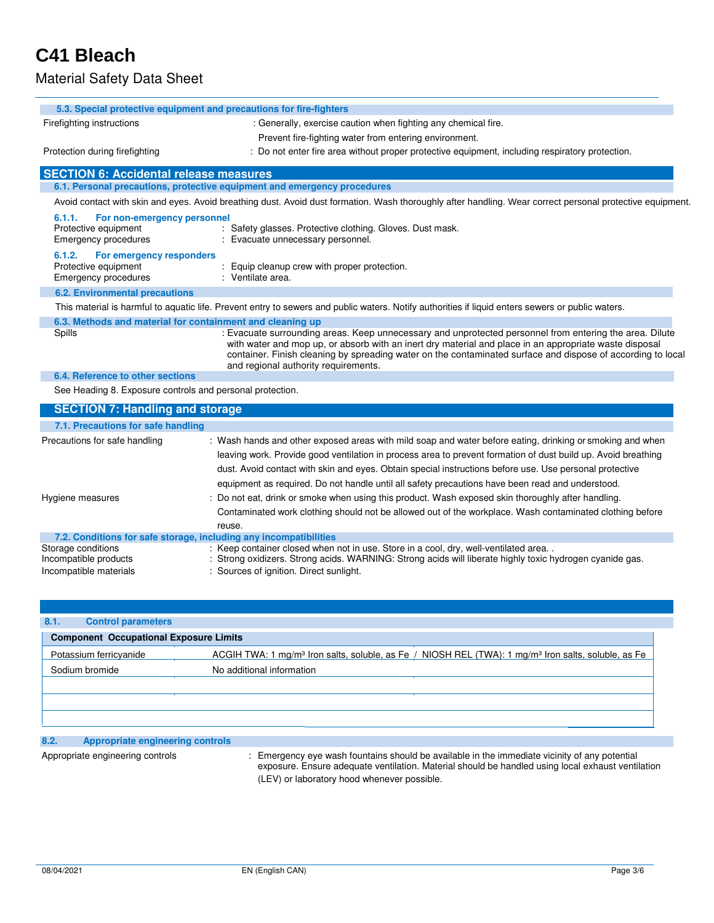## Material Safety Data Sheet

|                                                                                       | 5.3. Special protective equipment and precautions for fire-fighters                                                                                                                                                                                                                                                                                                                                                                       |
|---------------------------------------------------------------------------------------|-------------------------------------------------------------------------------------------------------------------------------------------------------------------------------------------------------------------------------------------------------------------------------------------------------------------------------------------------------------------------------------------------------------------------------------------|
| Firefighting instructions                                                             | : Generally, exercise caution when fighting any chemical fire.                                                                                                                                                                                                                                                                                                                                                                            |
|                                                                                       | Prevent fire-fighting water from entering environment.                                                                                                                                                                                                                                                                                                                                                                                    |
| Protection during firefighting                                                        | : Do not enter fire area without proper protective equipment, including respiratory protection.                                                                                                                                                                                                                                                                                                                                           |
| <b>SECTION 6: Accidental release measures</b>                                         |                                                                                                                                                                                                                                                                                                                                                                                                                                           |
|                                                                                       | 6.1. Personal precautions, protective equipment and emergency procedures                                                                                                                                                                                                                                                                                                                                                                  |
|                                                                                       | Avoid contact with skin and eyes. Avoid breathing dust. Avoid dust formation. Wash thoroughly after handling. Wear correct personal protective equipment.                                                                                                                                                                                                                                                                                 |
| 6.1.1.<br>For non-emergency personnel<br>Protective equipment<br>Emergency procedures | : Safety glasses. Protective clothing. Gloves. Dust mask.<br>: Evacuate unnecessary personnel.                                                                                                                                                                                                                                                                                                                                            |
| 6.1.2.<br>For emergency responders<br>Protective equipment<br>Emergency procedures    | Equip cleanup crew with proper protection.<br>: Ventilate area.                                                                                                                                                                                                                                                                                                                                                                           |
| <b>6.2. Environmental precautions</b>                                                 |                                                                                                                                                                                                                                                                                                                                                                                                                                           |
|                                                                                       | This material is harmful to aquatic life. Prevent entry to sewers and public waters. Notify authorities if liquid enters sewers or public waters.                                                                                                                                                                                                                                                                                         |
|                                                                                       | 6.3. Methods and material for containment and cleaning up                                                                                                                                                                                                                                                                                                                                                                                 |
| Spills                                                                                | : Evacuate surrounding areas. Keep unnecessary and unprotected personnel from entering the area. Dilute<br>with water and mop up, or absorb with an inert dry material and place in an appropriate waste disposal<br>container. Finish cleaning by spreading water on the contaminated surface and dispose of according to local<br>and regional authority requirements.                                                                  |
| 6.4. Reference to other sections                                                      |                                                                                                                                                                                                                                                                                                                                                                                                                                           |
| See Heading 8. Exposure controls and personal protection.                             |                                                                                                                                                                                                                                                                                                                                                                                                                                           |
| <b>SECTION 7: Handling and storage</b>                                                |                                                                                                                                                                                                                                                                                                                                                                                                                                           |
| 7.1. Precautions for safe handling                                                    |                                                                                                                                                                                                                                                                                                                                                                                                                                           |
| Precautions for safe handling                                                         | : Wash hands and other exposed areas with mild soap and water before eating, drinking or smoking and when<br>leaving work. Provide good ventilation in process area to prevent formation of dust build up. Avoid breathing<br>dust. Avoid contact with skin and eyes. Obtain special instructions before use. Use personal protective<br>equipment as required. Do not handle until all safety precautions have been read and understood. |
| Hygiene measures                                                                      | : Do not eat, drink or smoke when using this product. Wash exposed skin thoroughly after handling.<br>Contaminated work clothing should not be allowed out of the workplace. Wash contaminated clothing before<br>reuse.                                                                                                                                                                                                                  |
|                                                                                       | 7.2. Conditions for safe storage, including any incompatibilities                                                                                                                                                                                                                                                                                                                                                                         |
| Storage conditions<br>Incompatible products<br>Incompatible materials                 | : Keep container closed when not in use. Store in a cool, dry, well-ventilated area<br>Strong oxidizers. Strong acids. WARNING: Strong acids will liberate highly toxic hydrogen cyanide gas.<br>Sources of ignition. Direct sunlight.                                                                                                                                                                                                    |

| 8.1.<br><b>Control parameters</b>             |                                                                                                                                                          |
|-----------------------------------------------|----------------------------------------------------------------------------------------------------------------------------------------------------------|
| <b>Component Occupational Exposure Limits</b> |                                                                                                                                                          |
| Potassium ferricyanide<br>Sodium bromide      | ACGIH TWA: 1 mg/m <sup>3</sup> Iron salts, soluble, as Fe / NIOSH REL (TWA): 1 mg/m <sup>3</sup> Iron salts, soluble, as Fe<br>No additional information |
|                                               |                                                                                                                                                          |

## **8.2. Appropriate engineering controls**

Appropriate engineering controls : Emergency eye wash fountains should be available in the immediate vicinity of any potential exposure. Ensure adequate ventilation. Material should be handled using local exhaust ventilation (LEV) or laboratory hood whenever possible.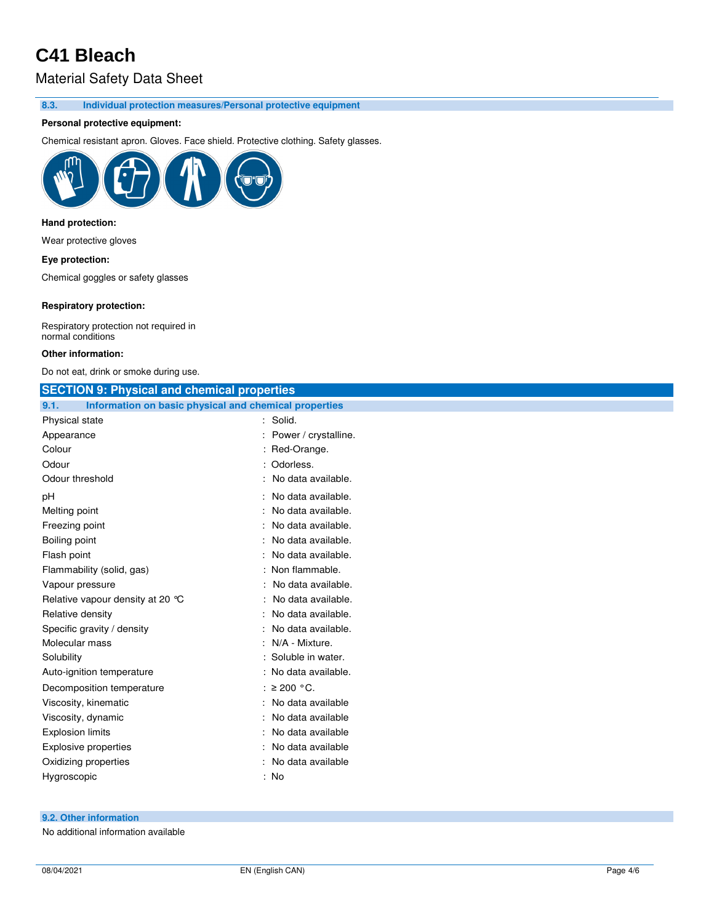## Material Safety Data Sheet

**8.3. Individual protection measures/Personal protective equipment**

### **Personal protective equipment:**

Chemical resistant apron. Gloves. Face shield. Protective clothing. Safety glasses.



### **Hand protection:**

Wear protective gloves

#### **Eye protection:**

Chemical goggles or safety glasses

### **Respiratory protection:**

Respiratory protection not required in normal conditions

#### **Other information:**

Do not eat, drink or smoke during use.

| <b>SECTION 9: Physical and chemical properties</b>            |                        |
|---------------------------------------------------------------|------------------------|
| 9.1.<br>Information on basic physical and chemical properties |                        |
| Physical state                                                | : Solid.               |
| Appearance                                                    | : Power / crystalline. |
| Colour                                                        | : Red-Orange.          |
| Odour                                                         | : Odorless.            |
| Odour threshold                                               | : No data available.   |
| рH                                                            | : No data available.   |
| Melting point                                                 | : No data available.   |
| Freezing point                                                | No data available.     |
| Boiling point                                                 | No data available.     |
| Flash point                                                   | : No data available.   |
| Flammability (solid, gas)                                     | : Non flammable.       |
| Vapour pressure                                               | No data available.     |
| Relative vapour density at 20 °C                              | No data available.     |
| Relative density                                              | : No data available.   |
| Specific gravity / density                                    | No data available.     |
| Molecular mass                                                | N/A - Mixture.         |
| Solubility                                                    | : Soluble in water.    |
| Auto-ignition temperature                                     | : No data available.   |
| Decomposition temperature                                     | : $\geq$ 200 °C.       |
| Viscosity, kinematic                                          | : No data available    |
| Viscosity, dynamic                                            | No data available      |
| <b>Explosion limits</b>                                       | : No data available    |
| Explosive properties                                          | No data available      |
| Oxidizing properties                                          | : No data available    |
| Hygroscopic                                                   | : No                   |
|                                                               |                        |

### **9.2. Other information**

No additional information available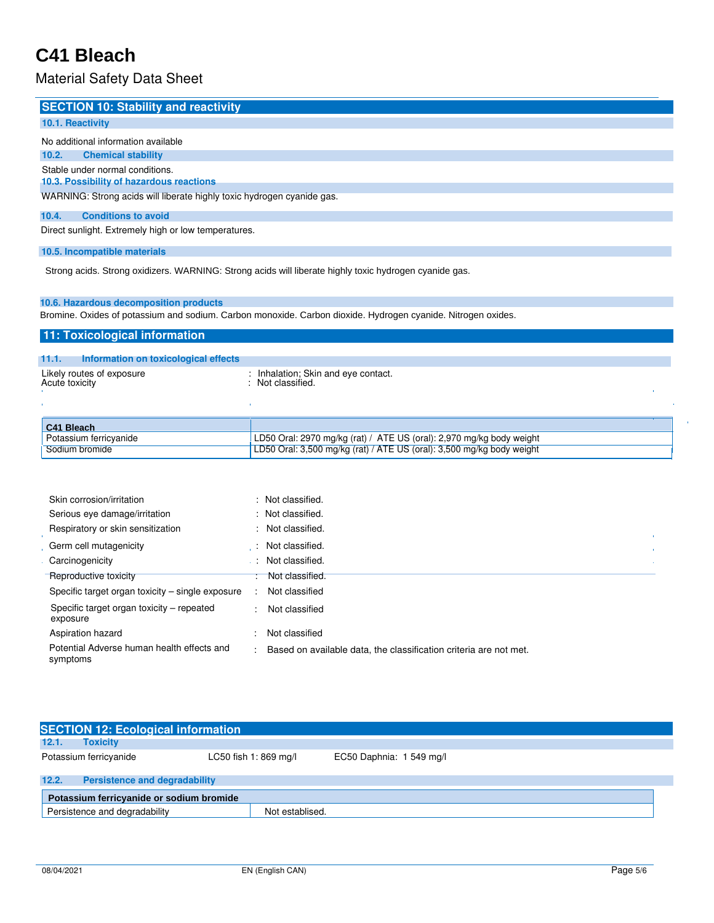## Material Safety Data Sheet

| <b>SECTION 10: Stability and reactivity</b>                                 |
|-----------------------------------------------------------------------------|
| 10.1. Reactivity                                                            |
| No additional information available                                         |
| <b>Chemical stability</b><br>10.2.                                          |
| Stable under normal conditions.<br>10.3. Possibility of hazardous reactions |
| WARNING: Strong acids will liberate highly toxic hydrogen cyanide gas.      |
| <b>Conditions to avoid</b><br>10.4.                                         |
| Direct sunlight. Extremely high or low temperatures.                        |

### **10.5. Incompatible materials**

Strong acids. Strong oxidizers. WARNING: Strong acids will liberate highly toxic hydrogen cyanide gas.

## **10.6. Hazardous decomposition products**

Bromine. Oxides of potassium and sodium. Carbon monoxide. Carbon dioxide. Hydrogen cyanide. Nitrogen oxides.

## **11: Toxicological information**

| 11.1.          | Information on toxicological effects |                                                                                  |  |
|----------------|--------------------------------------|----------------------------------------------------------------------------------|--|
| Acute toxicity | Likely routes of exposure            | : Inhalation; Skin and eye contact.<br>: Not classified.                         |  |
|                |                                      |                                                                                  |  |
| C41 Bleach     |                                      |                                                                                  |  |
|                | <b>Dotaccium forriguanido</b>        | $1 \text{ DEA}$ Oral: 2070 malka (rat) / ATE LIS (oral): 2.070 malka body wojaht |  |

| C41 Bleach             |                                                                       |
|------------------------|-----------------------------------------------------------------------|
| Potassium ferricyanide | LD50 Oral: 2970 mg/kg (rat) / ATE US (oral): 2,970 mg/kg body weight  |
| Sodium bromide         | LD50 Oral: 3,500 mg/kg (rat) / ATE US (oral): 3,500 mg/kg body weight |
|                        |                                                                       |

| Skin corrosion/irritation                              |        | : Not classified.                                                 |
|--------------------------------------------------------|--------|-------------------------------------------------------------------|
| Serious eye damage/irritation                          |        | : Not classified.                                                 |
| Respiratory or skin sensitization                      |        | : Not classified.                                                 |
| . Germ cell mutagenicity                               | - 11   | Not classified.                                                   |
| Carcinogenicity                                        |        | Not classified.                                                   |
| Reproductive toxicity                                  |        | : Not classified.                                                 |
| Specific target organ toxicity – single exposure       |        | Not classified                                                    |
| Specific target organ toxicity – repeated<br>exposure  | $\sim$ | Not classified                                                    |
| Aspiration hazard                                      | ٠      | Not classified                                                    |
| Potential Adverse human health effects and<br>symptoms | ÷      | Based on available data, the classification criteria are not met. |

|       | <b>SECTION 12: Ecological information</b> |                       |                          |  |  |
|-------|-------------------------------------------|-----------------------|--------------------------|--|--|
| 12.1. | <b>Toxicity</b>                           |                       |                          |  |  |
|       | Potassium ferricyanide                    | LC50 fish 1: 869 mg/l | EC50 Daphnia: 1 549 mg/l |  |  |
| 12.2. | <b>Persistence and degradability</b>      |                       |                          |  |  |
|       | Potassium ferricyanide or sodium bromide  |                       |                          |  |  |
|       | Persistence and degradability             | Not establised.       |                          |  |  |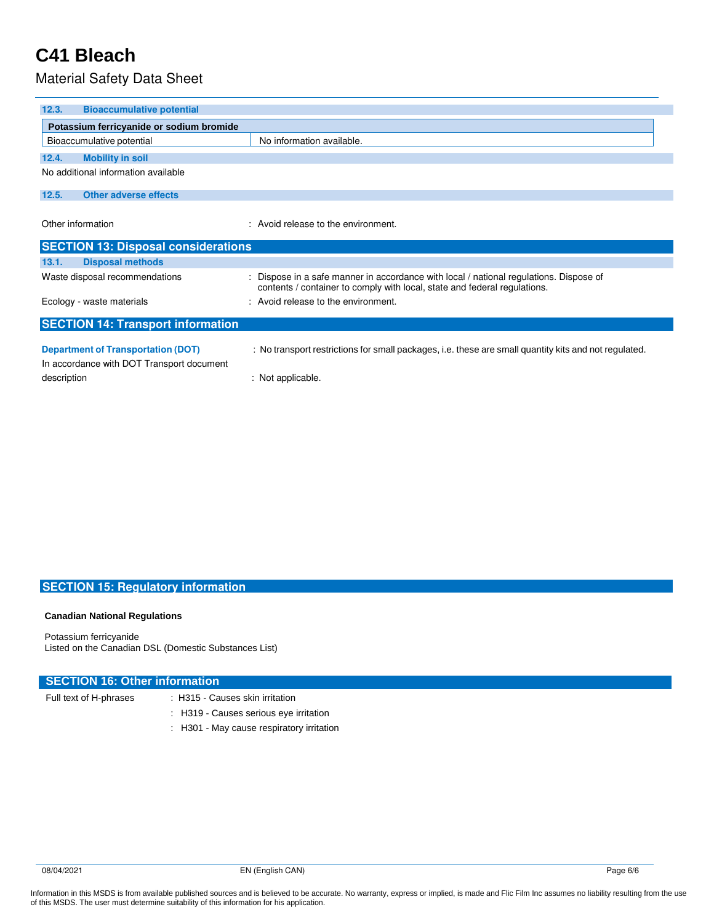## Material Safety Data Sheet

| 12.3.<br><b>Bioaccumulative potential</b>                                              |                                                                                                                                                                     |
|----------------------------------------------------------------------------------------|---------------------------------------------------------------------------------------------------------------------------------------------------------------------|
| Potassium ferricyanide or sodium bromide                                               |                                                                                                                                                                     |
| Bioaccumulative potential                                                              | No information available.                                                                                                                                           |
| <b>Mobility in soil</b><br>12.4.                                                       |                                                                                                                                                                     |
| No additional information available                                                    |                                                                                                                                                                     |
| 12.5.<br>Other adverse effects                                                         |                                                                                                                                                                     |
| Other information                                                                      | : Avoid release to the environment.                                                                                                                                 |
| <b>SECTION 13: Disposal considerations</b>                                             |                                                                                                                                                                     |
| <b>Disposal methods</b><br>13.1.                                                       |                                                                                                                                                                     |
| Waste disposal recommendations                                                         | : Dispose in a safe manner in accordance with local / national regulations. Dispose of<br>contents / container to comply with local, state and federal regulations. |
| Ecology - waste materials                                                              | : Avoid release to the environment.                                                                                                                                 |
| <b>SECTION 14: Transport information</b>                                               |                                                                                                                                                                     |
| <b>Department of Transportation (DOT)</b><br>In accordance with DOT Transport document | : No transport restrictions for small packages, i.e. these are small quantity kits and not regulated.                                                               |
| description                                                                            | : Not applicable.                                                                                                                                                   |

## **SECTION 15: Regulatory information**

#### **Canadian National Regulations**

Potassium ferricyanide Listed on the Canadian DSL (Domestic Substances List)

### **SECTION 16: Other information**

- Full text of H-phrases : H315 Causes skin irritation
	- : H319 Causes serious eye irritation
	- : H301 May cause respiratory irritation

Information in this MSDS is from available published sources and is believed to be accurate. No warranty, express or implied, is made and Flic Film Inc assumes no liability resulting from the use<br>of this MSDS. The user mus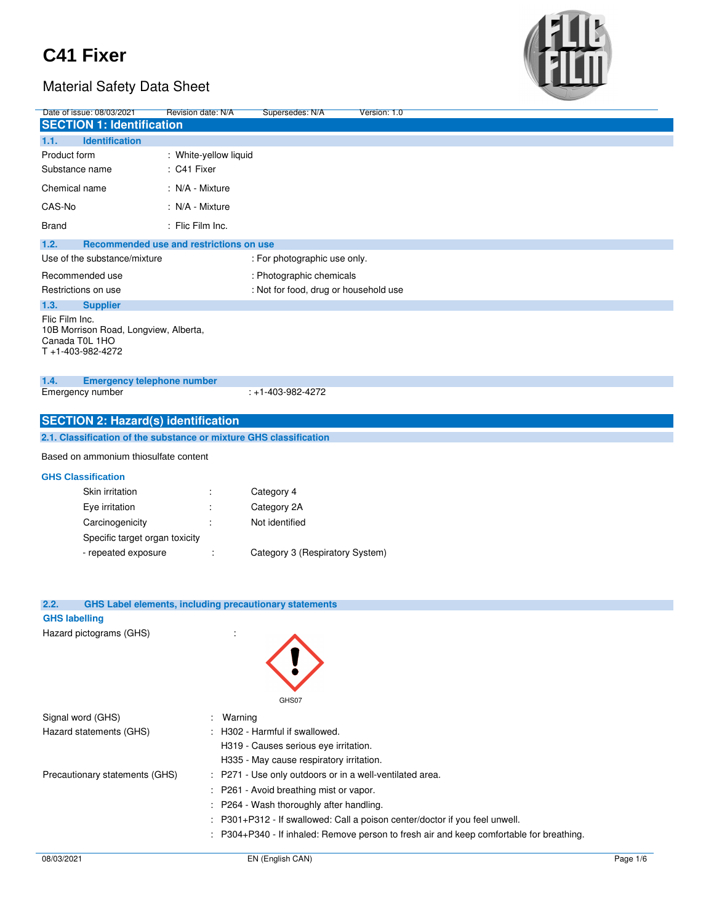

| Date of issue: 08/03/2021                                                                                        | Revision date: N/A    | Supersedes: N/A                                               | Version: 1.0                                                                           |          |
|------------------------------------------------------------------------------------------------------------------|-----------------------|---------------------------------------------------------------|----------------------------------------------------------------------------------------|----------|
| <b>SECTION 1: Identification</b>                                                                                 |                       |                                                               |                                                                                        |          |
| <b>Identification</b><br>1.1.                                                                                    |                       |                                                               |                                                                                        |          |
| Product form                                                                                                     | : White-yellow liquid |                                                               |                                                                                        |          |
| Substance name                                                                                                   | : C41 Fixer           |                                                               |                                                                                        |          |
| Chemical name                                                                                                    | : N/A - Mixture       |                                                               |                                                                                        |          |
| CAS-No                                                                                                           | : N/A - Mixture       |                                                               |                                                                                        |          |
| Brand                                                                                                            | : Flic Film Inc.      |                                                               |                                                                                        |          |
| 1.2.<br>Recommended use and restrictions on use                                                                  |                       |                                                               |                                                                                        |          |
| Use of the substance/mixture                                                                                     |                       | : For photographic use only.                                  |                                                                                        |          |
| Recommended use                                                                                                  |                       | : Photographic chemicals                                      |                                                                                        |          |
| Restrictions on use                                                                                              |                       | : Not for food, drug or household use                         |                                                                                        |          |
| 1.3.<br><b>Supplier</b>                                                                                          |                       |                                                               |                                                                                        |          |
| Flic Film Inc.<br>10B Morrison Road, Longview, Alberta,<br>Canada T0L 1HO<br>T+1-403-982-4272                    |                       |                                                               |                                                                                        |          |
| 1.4.<br><b>Emergency telephone number</b>                                                                        |                       |                                                               |                                                                                        |          |
| Emergency number                                                                                                 |                       | : +1-403-982-4272                                             |                                                                                        |          |
|                                                                                                                  |                       |                                                               |                                                                                        |          |
| <b>SECTION 2: Hazard(s) identification</b><br>2.1. Classification of the substance or mixture GHS classification |                       |                                                               |                                                                                        |          |
|                                                                                                                  |                       |                                                               |                                                                                        |          |
| Based on ammonium thiosulfate content                                                                            |                       |                                                               |                                                                                        |          |
| <b>GHS Classification</b>                                                                                        |                       |                                                               |                                                                                        |          |
| Skin irritation                                                                                                  | ÷                     | Category 4                                                    |                                                                                        |          |
| Eye irritation                                                                                                   |                       | Category 2A                                                   |                                                                                        |          |
| Carcinogenicity                                                                                                  | t                     | Not identified                                                |                                                                                        |          |
| Specific target organ toxicity                                                                                   |                       |                                                               |                                                                                        |          |
| - repeated exposure                                                                                              |                       | Category 3 (Respiratory System)                               |                                                                                        |          |
| 2.2.<br><b>GHS labelling</b>                                                                                     |                       | <b>GHS Label elements, including precautionary statements</b> |                                                                                        |          |
| Hazard pictograms (GHS)                                                                                          | ÷                     |                                                               |                                                                                        |          |
|                                                                                                                  |                       | GHS07                                                         |                                                                                        |          |
| Signal word (GHS)                                                                                                | Warning               |                                                               |                                                                                        |          |
| Hazard statements (GHS)                                                                                          |                       | H302 - Harmful if swallowed.                                  |                                                                                        |          |
|                                                                                                                  |                       | H319 - Causes serious eye irritation.                         |                                                                                        |          |
|                                                                                                                  |                       | H335 - May cause respiratory irritation.                      |                                                                                        |          |
| Precautionary statements (GHS)                                                                                   |                       |                                                               | P271 - Use only outdoors or in a well-ventilated area.                                 |          |
|                                                                                                                  |                       | P261 - Avoid breathing mist or vapor.                         |                                                                                        |          |
|                                                                                                                  |                       | P264 - Wash thoroughly after handling.                        |                                                                                        |          |
|                                                                                                                  |                       |                                                               | P301+P312 - If swallowed: Call a poison center/doctor if you feel unwell.              |          |
|                                                                                                                  |                       |                                                               | P304+P340 - If inhaled: Remove person to fresh air and keep comfortable for breathing. |          |
| 08/03/2021                                                                                                       |                       | EN (English CAN)                                              |                                                                                        | Page 1/6 |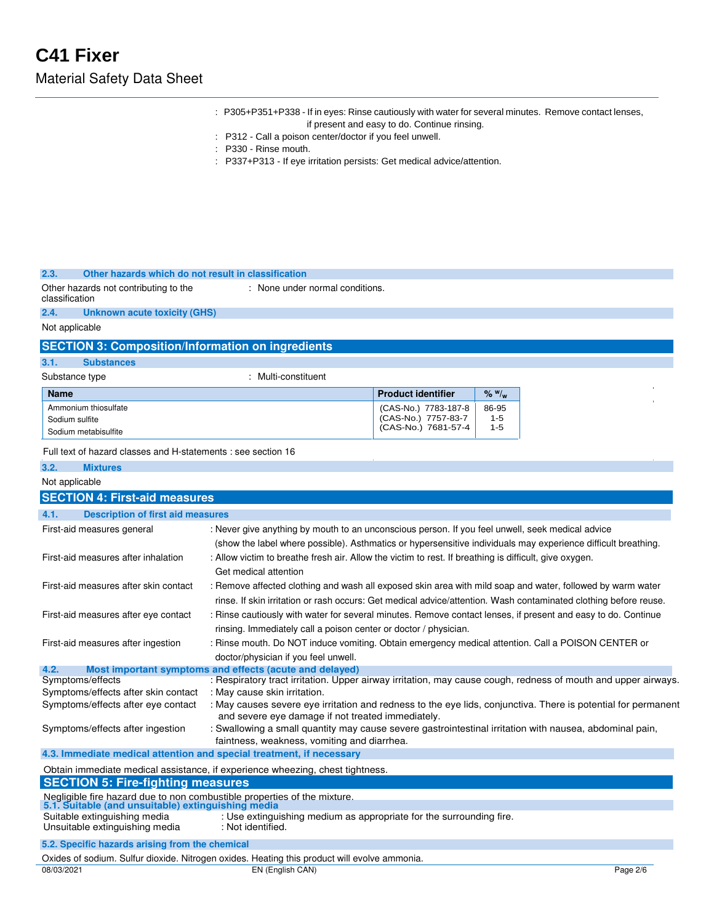| : P305+P351+P338 - If in eyes: Rinse cautiously with water for several minutes. Remove contact lenses, |  |
|--------------------------------------------------------------------------------------------------------|--|
| if present and easy to do. Continue rinsing.                                                           |  |

- : P312 Call a poison center/doctor if you feel unwell.
- : P330 Rinse mouth.
- : P337+P313 If eye irritation persists: Get medical advice/attention.

#### **2.3. Other hazards which do not result in classification**

| Other hazards not contributing to the | : None under normal conditions. |
|---------------------------------------|---------------------------------|
| classification                        |                                 |

**2.4. Unknown acute toxicity (GHS)**

Not applicable

## **SECTION 3: Composition/Information on ingredients**

**3.1. Substances**

Substance type : Multi-constituent

| <b>Name</b>          | <b>Product identifier</b> | $\frac{9}{6}$ W/ <sub>w</sub> |
|----------------------|---------------------------|-------------------------------|
| Ammonium thiosulfate | (CAS-No.) 7783-187-8      | 86-95                         |
| Sodium sulfite       | (CAS-No.) 7757-83-7       | $1 - 5$                       |
| Sodium metabisulfite | (CAS-No.) 7681-57-4       | $1 - 5$                       |

Full text of hazard classes and H-statements : see section 16

| 3.2.<br><b>Mixtures</b>                                                                                                        |                                                                                                                                                                                                                                |          |
|--------------------------------------------------------------------------------------------------------------------------------|--------------------------------------------------------------------------------------------------------------------------------------------------------------------------------------------------------------------------------|----------|
| Not applicable                                                                                                                 |                                                                                                                                                                                                                                |          |
| <b>SECTION 4: First-aid measures</b>                                                                                           |                                                                                                                                                                                                                                |          |
| <b>Description of first aid measures</b><br>4.1.                                                                               |                                                                                                                                                                                                                                |          |
| First-aid measures general                                                                                                     | : Never give anything by mouth to an unconscious person. If you feel unwell, seek medical advice<br>(show the label where possible). Asthmatics or hypersensitive individuals may experience difficult breathing.              |          |
| First-aid measures after inhalation                                                                                            | : Allow victim to breathe fresh air. Allow the victim to rest. If breathing is difficult, give oxygen.<br>Get medical attention                                                                                                |          |
| First-aid measures after skin contact                                                                                          | : Remove affected clothing and wash all exposed skin area with mild soap and water, followed by warm water<br>rinse. If skin irritation or rash occurs: Get medical advice/attention. Wash contaminated clothing before reuse. |          |
| First-aid measures after eye contact                                                                                           | : Rinse cautiously with water for several minutes. Remove contact lenses, if present and easy to do. Continue<br>rinsing. Immediately call a poison center or doctor / physician.                                              |          |
| First-aid measures after ingestion                                                                                             | : Rinse mouth. Do NOT induce vomiting. Obtain emergency medical attention. Call a POISON CENTER or<br>doctor/physician if you feel unwell.                                                                                     |          |
| 4.2.                                                                                                                           | Most important symptoms and effects (acute and delayed)                                                                                                                                                                        |          |
| Symptoms/effects                                                                                                               | : Respiratory tract irritation. Upper airway irritation, may cause cough, redness of mouth and upper airways.                                                                                                                  |          |
| Symptoms/effects after skin contact                                                                                            | : May cause skin irritation.                                                                                                                                                                                                   |          |
| Symptoms/effects after eye contact                                                                                             | : May causes severe eye irritation and redness to the eye lids, conjunctiva. There is potential for permanent<br>and severe eye damage if not treated immediately.                                                             |          |
| Symptoms/effects after ingestion                                                                                               | : Swallowing a small quantity may cause severe gastrointestinal irritation with nausea, abdominal pain,<br>faintness, weakness, vomiting and diarrhea.                                                                         |          |
| 4.3. Immediate medical attention and special treatment, if necessary                                                           |                                                                                                                                                                                                                                |          |
|                                                                                                                                | Obtain immediate medical assistance, if experience wheezing, chest tightness.                                                                                                                                                  |          |
| <b>SECTION 5: Fire-fighting measures</b>                                                                                       |                                                                                                                                                                                                                                |          |
| Negligible fire hazard due to non combustible properties of the mixture.<br>5.1. Suitable (and unsuitable) extinguishing media |                                                                                                                                                                                                                                |          |
| Suitable extinguishing media<br>Unsuitable extinguishing media                                                                 | : Use extinguishing medium as appropriate for the surrounding fire.<br>: Not identified.                                                                                                                                       |          |
| 5.2. Specific hazards arising from the chemical                                                                                |                                                                                                                                                                                                                                |          |
|                                                                                                                                | Oxides of sodium. Sulfur dioxide. Nitrogen oxides. Heating this product will evolve ammonia.                                                                                                                                   |          |
| 08/03/2021                                                                                                                     | EN (English CAN)                                                                                                                                                                                                               | Page 2/6 |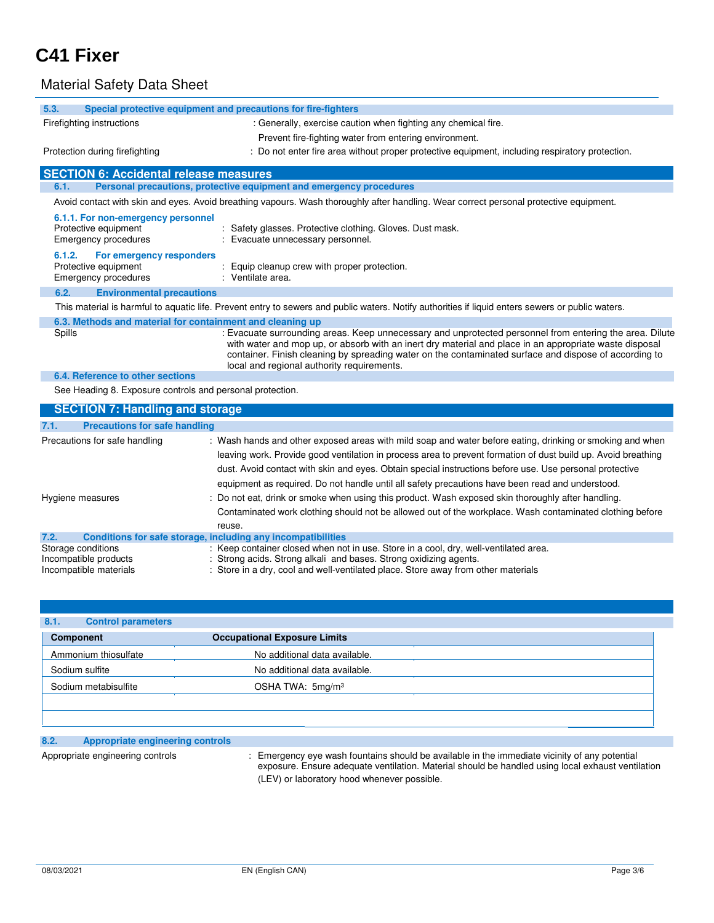## Material Safety Data Sheet

| 5.3.                                                                                      | Special protective equipment and precautions for fire-fighters                                                                                                                                                                                                                                                                                                                                                                            |
|-------------------------------------------------------------------------------------------|-------------------------------------------------------------------------------------------------------------------------------------------------------------------------------------------------------------------------------------------------------------------------------------------------------------------------------------------------------------------------------------------------------------------------------------------|
| Firefighting instructions                                                                 | : Generally, exercise caution when fighting any chemical fire.                                                                                                                                                                                                                                                                                                                                                                            |
|                                                                                           | Prevent fire-fighting water from entering environment.                                                                                                                                                                                                                                                                                                                                                                                    |
| Protection during firefighting                                                            | : Do not enter fire area without proper protective equipment, including respiratory protection.                                                                                                                                                                                                                                                                                                                                           |
| <b>SECTION 6: Accidental release measures</b>                                             |                                                                                                                                                                                                                                                                                                                                                                                                                                           |
| 6.1.                                                                                      | Personal precautions, protective equipment and emergency procedures                                                                                                                                                                                                                                                                                                                                                                       |
|                                                                                           | Avoid contact with skin and eyes. Avoid breathing vapours. Wash thoroughly after handling. Wear correct personal protective equipment.                                                                                                                                                                                                                                                                                                    |
| 6.1.1. For non-emergency personnel<br>Protective equipment<br>Emergency procedures        | : Safety glasses. Protective clothing. Gloves. Dust mask.<br>Evacuate unnecessary personnel.                                                                                                                                                                                                                                                                                                                                              |
| 6.1.2.<br>For emergency responders<br>Protective equipment<br><b>Emergency procedures</b> | Equip cleanup crew with proper protection.<br>: Ventilate area.                                                                                                                                                                                                                                                                                                                                                                           |
| 6.2.<br><b>Environmental precautions</b>                                                  |                                                                                                                                                                                                                                                                                                                                                                                                                                           |
|                                                                                           | This material is harmful to aquatic life. Prevent entry to sewers and public waters. Notify authorities if liquid enters sewers or public waters.                                                                                                                                                                                                                                                                                         |
| 6.3. Methods and material for containment and cleaning up                                 |                                                                                                                                                                                                                                                                                                                                                                                                                                           |
| Spills                                                                                    | : Evacuate surrounding areas. Keep unnecessary and unprotected personnel from entering the area. Dilute<br>with water and mop up, or absorb with an inert dry material and place in an appropriate waste disposal<br>container. Finish cleaning by spreading water on the contaminated surface and dispose of according to<br>local and regional authority requirements.                                                                  |
| 6.4. Reference to other sections                                                          |                                                                                                                                                                                                                                                                                                                                                                                                                                           |
| See Heading 8. Exposure controls and personal protection.                                 |                                                                                                                                                                                                                                                                                                                                                                                                                                           |
| <b>SECTION 7: Handling and storage</b>                                                    |                                                                                                                                                                                                                                                                                                                                                                                                                                           |
| <b>Precautions for safe handling</b><br>7.1.                                              |                                                                                                                                                                                                                                                                                                                                                                                                                                           |
| Precautions for safe handling                                                             | : Wash hands and other exposed areas with mild soap and water before eating, drinking or smoking and when<br>leaving work. Provide good ventilation in process area to prevent formation of dust build up. Avoid breathing<br>dust. Avoid contact with skin and eyes. Obtain special instructions before use. Use personal protective<br>equipment as required. Do not handle until all safety precautions have been read and understood. |
| Hygiene measures                                                                          | Do not eat, drink or smoke when using this product. Wash exposed skin thoroughly after handling.<br>Contaminated work clothing should not be allowed out of the workplace. Wash contaminated clothing before<br>reuse.                                                                                                                                                                                                                    |
| 7.2.                                                                                      | Conditions for safe storage, including any incompatibilities                                                                                                                                                                                                                                                                                                                                                                              |
| Storage conditions                                                                        | : Keep container closed when not in use. Store in a cool, dry, well-ventilated area.<br>Other and the Broad to a component of the                                                                                                                                                                                                                                                                                                         |

Incompatible products : Strong acids. Strong alkali and bases. Strong oxidizing agents. Incompatible materials : Store in a dry, cool and well-ventilated place. Store away from other materials

| <b>Control parameters</b><br>8.1.<br><b>Component</b> | <b>Occupational Exposure Limits</b> |  |
|-------------------------------------------------------|-------------------------------------|--|
| Ammonium thiosulfate                                  | No additional data available.       |  |
| Sodium sulfite                                        | No additional data available.       |  |
| Sodium metabisulfite                                  | OSHA TWA: 5mg/m <sup>3</sup>        |  |

## **8.2. Appropriate engineering controls**

Appropriate engineering controls : Emergency eye wash fountains should be available in the immediate vicinity of any potential exposure. Ensure adequate ventilation. Material should be handled using local exhaust ventilation (LEV) or laboratory hood whenever possible.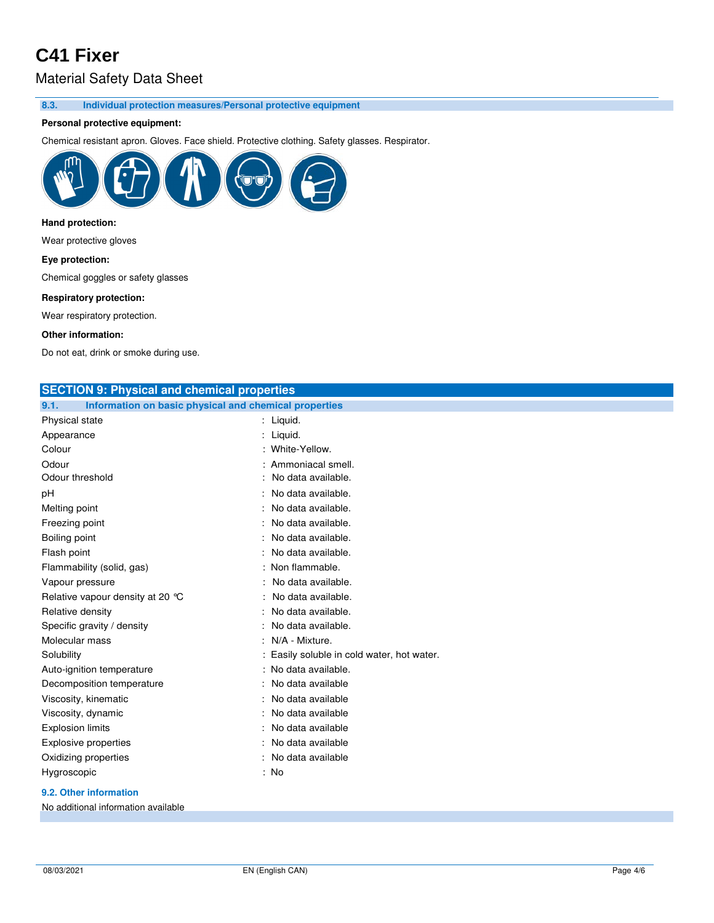## Material Safety Data Sheet

**8.3. Individual protection measures/Personal protective equipment** 

### **Personal protective equipment:**

Chemical resistant apron. Gloves. Face shield. Protective clothing. Safety glasses. Respirator.



## **Hand protection:**

Wear protective gloves

#### **Eye protection:**

Chemical goggles or safety glasses

#### **Respiratory protection:**

Wear respiratory protection.

#### **Other information:**

Do not eat, drink or smoke during use.

| <b>SECTION 9: Physical and chemical properties</b>            |                                            |
|---------------------------------------------------------------|--------------------------------------------|
| Information on basic physical and chemical properties<br>9.1. |                                            |
| Physical state                                                | : Liquid.                                  |
| Appearance                                                    | : Liquid.                                  |
| Colour                                                        | : White-Yellow.                            |
| Odour                                                         | : Ammoniacal smell.                        |
| Odour threshold                                               | No data available.                         |
| рH                                                            | : No data available.                       |
| Melting point                                                 | No data available.                         |
| Freezing point                                                | No data available.                         |
| Boiling point                                                 | : No data available.                       |
| Flash point                                                   | No data available.                         |
| Flammability (solid, gas)                                     | : Non flammable.                           |
| Vapour pressure                                               | No data available.                         |
| Relative vapour density at 20 °C                              | No data available.                         |
| Relative density                                              | No data available.                         |
| Specific gravity / density                                    | No data available.                         |
| Molecular mass                                                | N/A - Mixture.                             |
| Solubility                                                    | : Easily soluble in cold water, hot water. |
| Auto-ignition temperature                                     | : No data available.                       |
| Decomposition temperature                                     | No data available                          |
| Viscosity, kinematic                                          | No data available                          |
| Viscosity, dynamic                                            | No data available                          |
| <b>Explosion limits</b>                                       | No data available                          |
| <b>Explosive properties</b>                                   | No data available                          |
| Oxidizing properties                                          | No data available                          |
| Hygroscopic                                                   | : No                                       |
|                                                               |                                            |

### **9.2. Other information**

No additional information available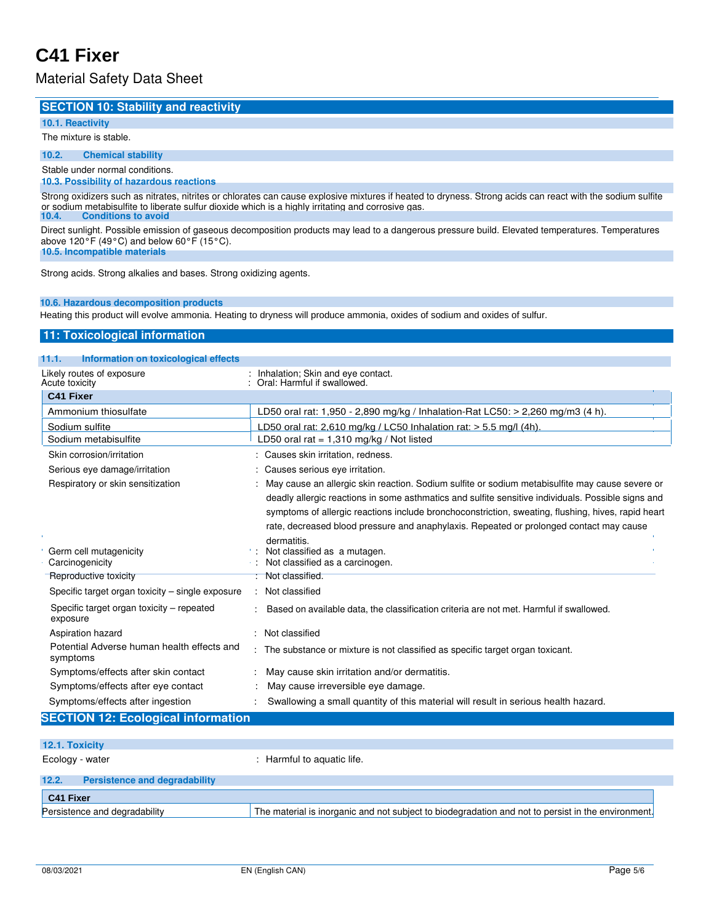## Material Safety Data Sheet

### **SECTION 10: Stability and reactivity**

#### **10.1. Reactivity**

The mixture is stable.

**10.2. Chemical stability**

## Stable under normal conditions.

## **10.3. Possibility of hazardous reactions**

Strong oxidizers such as nitrates, nitrites or chlorates can cause explosive mixtures if heated to dryness. Strong acids can react with the sodium sulfite or sodium metabisulfite to liberate sulfur dioxide which is a highly irritating and corrosive gas. **10.4. Conditions to avoid**

Direct sunlight. Possible emission of gaseous decomposition products may lead to a dangerous pressure build. Elevated temperatures. Temperatures above 120 $\degree$ F (49 $\degree$ C) and below 60 $\degree$ F (15 $\degree$ C).

**10.5. Incompatible materials**

Strong acids. Strong alkalies and bases. Strong oxidizing agents.

#### **10.6. Hazardous decomposition products**

Heating this product will evolve ammonia. Heating to dryness will produce ammonia, oxides of sodium and oxides of sulfur.

### **11: Toxicological information**

### **11.1. Information on toxicological effects**

| Likely routes of exposure<br>Acute toxicity            | : Inhalation; Skin and eye contact.<br>Oral: Harmful if swallowed.                                 |
|--------------------------------------------------------|----------------------------------------------------------------------------------------------------|
| C41 Fixer                                              |                                                                                                    |
| Ammonium thiosulfate                                   | LD50 oral rat: 1,950 - 2,890 mg/kg / Inhalation-Rat LC50: $>$ 2,260 mg/m3 (4 h).                   |
| Sodium sulfite                                         | LD50 oral rat: 2,610 mg/kg / LC50 Inhalation rat: $>$ 5.5 mg/l (4h).                               |
| Sodium metabisulfite                                   | LD50 oral rat = $1,310$ mg/kg / Not listed                                                         |
| Skin corrosion/irritation                              | : Causes skin irritation, redness.                                                                 |
| Serious eye damage/irritation                          | : Causes serious eye irritation.                                                                   |
| Respiratory or skin sensitization                      | May cause an allergic skin reaction. Sodium sulfite or sodium metabisulfite may cause severe or    |
|                                                        | deadly allergic reactions in some asthmatics and sulfite sensitive individuals. Possible signs and |
|                                                        | symptoms of allergic reactions include bronchoconstriction, sweating, flushing, hives, rapid heart |
|                                                        | rate, decreased blood pressure and anaphylaxis. Repeated or prolonged contact may cause            |
|                                                        | dermatitis.                                                                                        |
| Germ cell mutagenicity<br>Carcinogenicity              | Not classified as a mutagen.<br>Not classified as a carcinogen.                                    |
| Reproductive toxicity                                  | Not classified.                                                                                    |
| Specific target organ toxicity – single exposure       | : Not classified                                                                                   |
| Specific target organ toxicity - repeated<br>exposure  | Based on available data, the classification criteria are not met. Harmful if swallowed.            |
| Aspiration hazard                                      | Not classified                                                                                     |
| Potential Adverse human health effects and<br>symptoms | The substance or mixture is not classified as specific target organ toxicant.                      |
| Symptoms/effects after skin contact                    | May cause skin irritation and/or dermatitis.                                                       |
| Symptoms/effects after eye contact                     | May cause irreversible eye damage.                                                                 |
| Symptoms/effects after ingestion                       | Swallowing a small quantity of this material will result in serious health hazard.                 |
| <b>SECTION 12: Ecological information</b>              |                                                                                                    |
|                                                        |                                                                                                    |

### **12.1. Toxicity**

Ecology - water  $\qquad \qquad$ : Harmful to aquatic life.

## **12.2. Persistence and degradability C41 Fixer** Persistence and degradability The material is inorganic and not subject to biodegradation and not to persist in the environment.